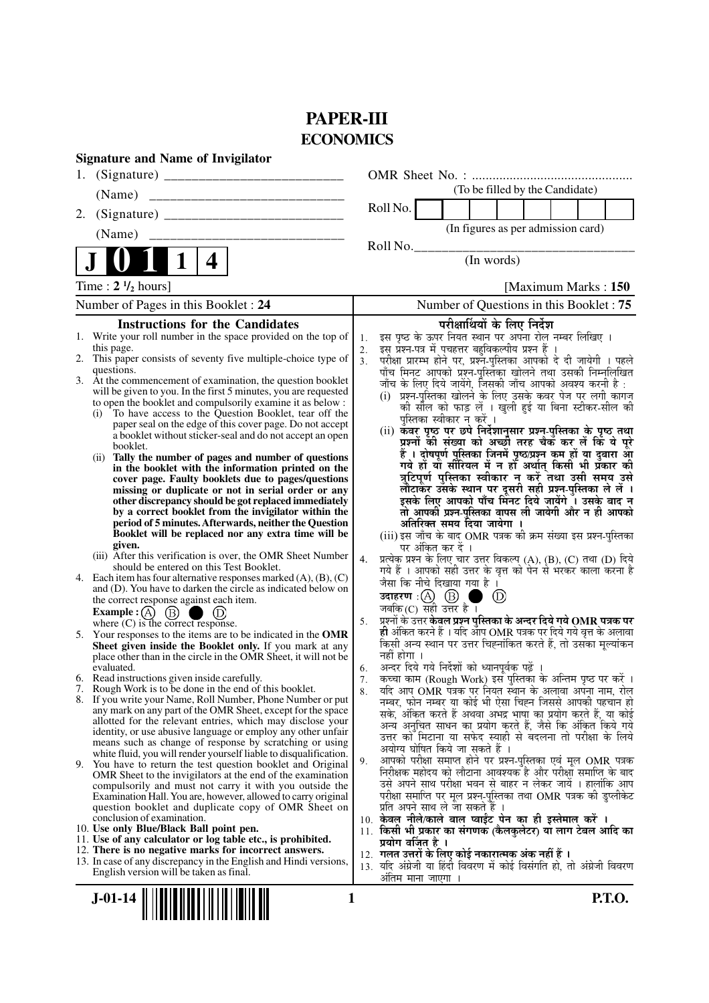# **PAPER-III ECONOMICS**

|    | <b>Signature and Name of Invigilator</b>                                                                                                      |                |                                                                                                                                                 |
|----|-----------------------------------------------------------------------------------------------------------------------------------------------|----------------|-------------------------------------------------------------------------------------------------------------------------------------------------|
| 1. |                                                                                                                                               |                |                                                                                                                                                 |
|    | (Name)                                                                                                                                        |                | (To be filled by the Candidate)                                                                                                                 |
| 2. |                                                                                                                                               |                | Roll No.                                                                                                                                        |
|    | (Name)                                                                                                                                        |                | (In figures as per admission card)                                                                                                              |
|    | 4                                                                                                                                             |                | Roll No.<br>(In words)                                                                                                                          |
|    | Time: $2 \frac{1}{2}$ hours]                                                                                                                  |                | [Maximum Marks: 150]                                                                                                                            |
|    | Number of Pages in this Booklet: 24                                                                                                           |                | Number of Questions in this Booklet: 75                                                                                                         |
|    | <b>Instructions for the Candidates</b>                                                                                                        |                | परीक्षार्थियों के लिए निर्देश                                                                                                                   |
|    | 1. Write your roll number in the space provided on the top of<br>this page.<br>2. This paper consists of seventy five multiple-choice type of | 1.<br>2.       | इस पृष्ठ के ऊपर नियत स्थान पर अपना रोल नम्बर लिखिए ।<br>इस् प्रश्न-पत्र में पुचहत्तर बहुविकल्पीय प्रश्न हैं ।                                   |
|    | questions.                                                                                                                                    | 3 <sub>1</sub> | परीक्षा प्रारम्भ होने पर, प्रश्नॅं-पुस्तिका आपको दे दी जायेगी । पहले<br>पाँच मिनट आपको प्रश्न-पुस्तिका खोलने तथा उसकी निम्नलिखित                |
|    | 3. At the commencement of examination, the question booklet<br>will be given to you. In the first 5 minutes, you are requested                |                | जाँच के लिए दिये जायेंगे, जिसकी जाँच आपको अवश्य करनी है :                                                                                       |
|    | to open the booklet and compulsorily examine it as below :                                                                                    |                | (i)  प्रश्न-पुस्तिका खोलने के लिए उसके कवर पेज पर लगी कागज<br>को सील को फाड़ लें । खुली हुई या बिना स्टीकर-सील की                               |
|    | (i) To have access to the Question Booklet, tear off the<br>paper seal on the edge of this cover page. Do not accept                          |                | पस्तिका स्वीकार न करें ।                                                                                                                        |
|    | a booklet without sticker-seal and do not accept an open                                                                                      |                | (ii) कँवर पृष्ठ पर छपे निर्देशानुसार प्रश्न-पुस्तिका के पृष्ठ तथा<br>प्रश्नों की संख्या को अच्छी तरह चैक कर लें कि ये पूरे                      |
|    | booklet.<br>Tally the number of pages and number of questions<br>(i)                                                                          |                | हैं । दोषपूर्ण पुस्तिका जिनमें पृष्ठ/प्रश्न कम हों या दुबारा आ                                                                                  |
|    | in the booklet with the information printed on the<br>cover page. Faulty booklets due to pages/questions                                      |                | गये हों यो सीरियल में न हों अर्थात् किसी भी प्रँकार की<br>त्रुटिपूर्ण पुस्तिका स्वीकार न करें तथा उसी समय उसे                                   |
|    | missing or duplicate or not in serial order or any                                                                                            |                | लौटाकर उसके स्थान पर दूसरी सही प्रश्न-पुस्तिका ले लें ।                                                                                         |
|    | other discrepancy should be got replaced immediately<br>by a correct booklet from the invigilator within the                                  |                | इसके लिए आपको पाँच मिंनट दिये जायेंगे ँ। उसके बाद न<br>तो आपकी प्रश्न-पुस्तिका वापस ली जायेगी और न ही आपको                                      |
|    | period of 5 minutes. Afterwards, neither the Question                                                                                         |                | अतिरिक्त समय दिया जायेगा ।                                                                                                                      |
|    | Booklet will be replaced nor any extra time will be<br>given.                                                                                 |                | (iii) इस जाँच के बाद OMR पत्रक की क्रम संख्या इस प्रश्न-पुस्तिका<br>पर अंकित कर दें ।                                                           |
|    | (iii) After this verification is over, the OMR Sheet Number<br>should be entered on this Test Booklet.                                        | 4.             | प्रत्येक प्रश्न के लिए चार उत्तर विकल्प (A), (B), (C) तथा (D) दिये                                                                              |
|    | 4. Each item has four alternative responses marked $(A)$ , $(B)$ , $(C)$                                                                      |                | गये हैं । आपको सही उत्तर के वृत्त को पेन से भरकर काला करना है<br>जैसा कि नीचे दिखाया गया है।                                                    |
|    | and (D). You have to darken the circle as indicated below on<br>the correct response against each item.                                       |                | $\circled{D}$                                                                                                                                   |
|    | <b>Example :</b> $\overline{A}$ $\overline{B}$ $\overline{D}$ $\overline{D}$<br>where (C) is the correct response.                            |                | <b>उदाहरण</b> : $\bigoplus$ $\bigoplus$ च<br>जबकि (C) सही उत्तर है ।                                                                            |
|    | 5. Your responses to the items are to be indicated in the OMR                                                                                 | 5.             | प्रश्नों के उत्तर <b>केवल प्रश्न पुस्तिका के अन्दर दिये गये OMR पत्रक पर</b><br>ही अंकित करने हैं । यदि ऑप OMR पत्रक पर दिये गये वृत्त के अलावा |
|    | Sheet given inside the Booklet only. If you mark at any                                                                                       |                | किसी अन्य स्थान पर उत्तर चिह्नांकित करते हैं, तो उसका मूल्यांकन                                                                                 |
|    | place other than in the circle in the OMR Sheet, it will not be<br>evaluated.                                                                 | 6.             | नहीं होगा ।<br>अन्दर दिये गये निर्देशों को ध्यानपूर्वक पढ़ें ।                                                                                  |
|    | 6. Read instructions given inside carefully.                                                                                                  | 7.             | कच्चा काम (Rough Work) इस पुस्तिका के अन्तिम पृष्ठ पर करें ।                                                                                    |
|    | 7. Rough Work is to be done in the end of this booklet.<br>8. If you write your Name, Roll Number, Phone Number or put                        | 8.             | र्याद आप OMR पत्रक पर नियत स्थान के अलावा अपना नाम, रोल<br>नम्बर, फोन नम्बर या कोई भी ऐसा चिह्न जिससे आपकी पहचान हो                             |
|    | any mark on any part of the OMR Sheet, except for the space<br>allotted for the relevant entries, which may disclose your                     |                | सके, अंकित करते हैं अथवा अभद्र भाषा का प्रयोग करते हैं, या कोई                                                                                  |
|    | identity, or use abusive language or employ any other unfair                                                                                  |                | अन्य अनुचित साधन का प्रयोग करते हैं, जैसे कि अंकित किये गये<br>उत्तर को मिटाना या सफेद स्याही से बदलना तो परीक्षा के लिये                       |
|    | means such as change of response by scratching or using<br>white fluid, you will render yourself liable to disqualification.                  |                | अयोग्य घोषित किये जा सकते हैं ।                                                                                                                 |
|    | 9. You have to return the test question booklet and Original                                                                                  | 9.             | आपको परीक्षा समाप्त होने पर प्रश्न-पुस्तिका एवं मूल OMR पत्रक<br>निरीक्षक महोदय को लौटाना आवश्यक है और परीक्षा समाप्ति के बाद                   |
|    | OMR Sheet to the invigilators at the end of the examination<br>compulsorily and must not carry it with you outside the                        |                | उसे अपने साथ परीक्षा भवन से बाहर न लेकर जायें । हालांकि आप                                                                                      |
|    | Examination Hall. You are, however, allowed to carry original<br>question booklet and duplicate copy of OMR Sheet on                          |                | परीक्षा समाप्ति पर मूल प्रश्न-पुस्तिका तथा OMR पत्रक की डुप्लीकेट<br>प्रति अपने साथ ले जा सकते हैं ।                                            |
|    | conclusion of examination.                                                                                                                    |                | 10. केवल नीले/काले बाल प्वाईंट पेन का ही इस्तेमाल करें ।                                                                                        |
|    | 10. Use only Blue/Black Ball point pen.<br>11. Use of any calculator or log table etc., is prohibited.                                        |                | 11. किसी भी प्रकार का संगणक (कैलकुलेटर) या लाग टेबल आदि का<br>प्रयोग वर्जित है ।                                                                |
|    | 12. There is no negative marks for incorrect answers.                                                                                         |                | 12.  गलत उत्तरों के लिए कोई नकारात्मक अंक नहीं हैं ।                                                                                            |
|    | 13. In case of any discrepancy in the English and Hindi versions,<br>English version will be taken as final.                                  |                | 13. यदि अंग्रेजी या हिंदी विवरण में कोई विसंगति हो, तो अंग्रेजी विवरण                                                                           |
|    |                                                                                                                                               |                | अंतिम माना जाएगा                                                                                                                                |
|    | $J-01-14$<br>1                                                                                                                                |                | <b>P.T.O.</b>                                                                                                                                   |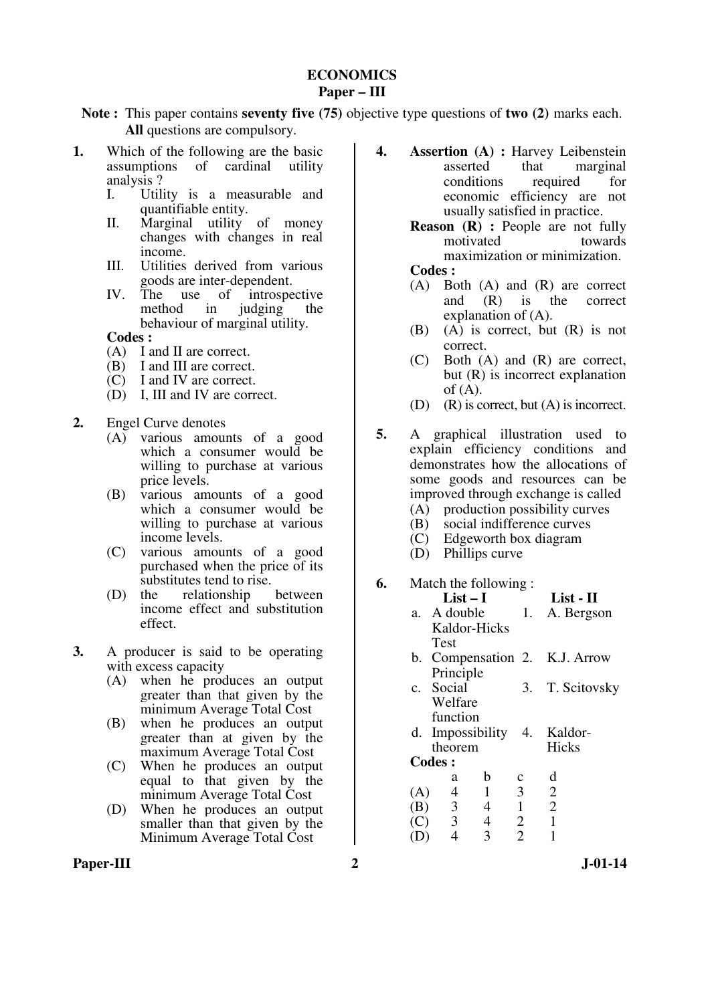### **ECONOMICS Paper – III**

**Note :** This paper contains **seventy five (75)** objective type questions of **two (2)** marks each. **All** questions are compulsory.

- **1.** Which of the following are the basic assumptions of cardinal utility analysis ?
	- I. Utility is a measurable and quantifiable entity.
	- II. Marginal utility of money changes with changes in real income.
	- III. Utilities derived from various goods are inter-dependent.
	- IV. The use of introspective method in judging the behaviour of marginal utility.
	- **Codes :**
	- (A) I and II are correct.
	- (B) I and III are correct.
	- (C) I and IV are correct.
	- (D) I, III and IV are correct.
- **2.** Engel Curve denotes
	- $(A)$  various amounts of a good which a consumer would be willing to purchase at various price levels.
	- (B) various amounts of a good which a consumer would be willing to purchase at various income levels.
	- (C) various amounts of a good purchased when the price of its substitutes tend to rise.
	- (D) the relationship between income effect and substitution effect.
- **3.** A producer is said to be operating with excess capacity
	- (A) when he produces an output greater than that given by the minimum Average Total Cost
	- (B) when he produces an output greater than at given by the maximum Average Total Cost
	- (C) When he produces an output equal to that given by the minimum Average Total Cost
	- (D) When he produces an output smaller than that given by the Minimum Average Total Cost
- Paper-III 2 J-01-14
- **4. Assertion (A) :** Harvey Leibenstein asserted that marginal conditions required for economic efficiency are not usually satisfied in practice.
	- **Reason (R) :** People are not fully motivated towards motivated maximization or minimization.

### **Codes :**

- (A) Both (A) and (R) are correct and (R) is the correct explanation of (A).
- (B) (A) is correct, but (R) is not correct.
- (C) Both (A) and (R) are correct, but (R) is incorrect explanation of  $(A)$ .
- (D) (R) is correct, but (A) is incorrect.
- **5.** A graphical illustration used to explain efficiency conditions and demonstrates how the allocations of some goods and resources can be improved through exchange is called
	- (A) production possibility curves
	- (B) social indifference curves
	- (C) Edgeworth box diagram
	- (D) Phillips curve

#### **6.** Match the following :

|     | $List-I$                |                |                | List - II                     |
|-----|-------------------------|----------------|----------------|-------------------------------|
|     | a. A double             |                |                | 1. A. Bergson                 |
|     | Kaldor-Hicks            |                |                |                               |
|     | <b>Test</b>             |                |                |                               |
|     |                         |                |                | b. Compensation 2. K.J. Arrow |
|     | Principle               |                |                |                               |
|     | c. Social               |                | 3.             | T. Scitovsky                  |
|     | Welfare                 |                |                |                               |
|     | function                |                |                |                               |
|     |                         |                |                | d. Impossibility 4. Kaldor-   |
|     | theorem                 |                |                | Hicks                         |
|     | <b>Codes:</b>           |                |                |                               |
|     | a                       | b              | с              | d                             |
| (A) | $\overline{4}$          | $\overline{1}$ | 3              | $\overline{2}$                |
| (B) | $\overline{\mathbf{3}}$ | $\overline{4}$ | $\mathbf{1}$   | $\overline{2}$                |
| (C) | $\overline{\mathbf{3}}$ | $\overline{4}$ | 2              | $\mathbf{1}$                  |
|     | $\overline{4}$          | 3              | $\overline{2}$ |                               |
|     |                         |                |                |                               |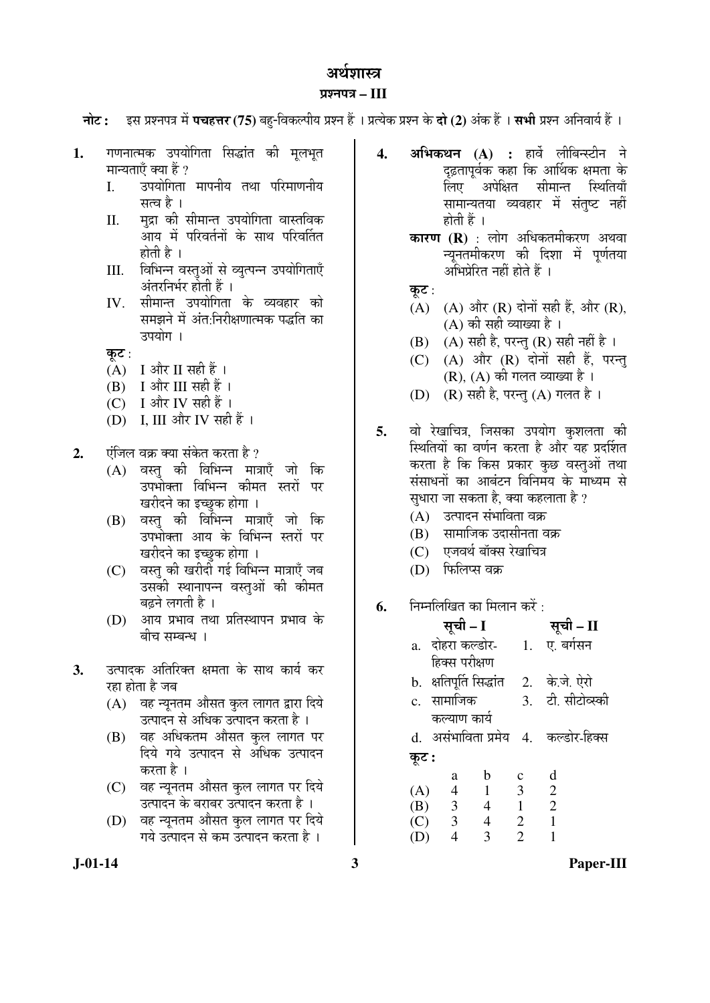# अर्थगास्त्र

### ¯ÖÏ¿®Ö¯Ö¡Ö **– III**

**नोट: द्स प्रश्नपत्र में पचहत्तर (75)** बह-विकल्पीय प्रश्न हैं । प्रत्येक प्रश्न के **दो (2)** अंक हैं । सभी प्रश्न अनिवार्य हैं ।

- 1. गणनात्मक उपयोगिता सिद्धांत की मुलभुत मान्यताएँ क्या हैं ?
	- I. उपयोगिता मापनीय तथा परिमाणनीय सत्व है ।
	- II. मुद्रा की सीमान्त उपयोगिता वास्तविक ँ<br>आय में परिवर्तनों के साथ परिवर्तित होती है $\perp$
	- III. विभिन्न वस्तुओं से व्युत्पन्न उपयोगिताएँ अंतरनिर्भर होती हैं ।
	- IV. सीमान्त उपयोगिता के व्यवहार को समझने में अंत:निरीक्षणात्मक पद्धति का उपयोग ।
	- कूट :
	- $(A)$  I और II सही हैं।
	- $(B)$  I और III सही हैं।
	- (C) I और IV सही हैं।
	- (D) I, III और IV सही हैं ।
- **2.** पंजिल वक्र क्या संकेत करता है ?
	- (A) वस्तु की विभिन्न मात्राएँ जो कि उपभोक्ता विभिन्न कीमत स्तरों पर खरीदने का इच्छुक होगा ।
	- (B) वस्तु की विभिन्न मात्राएँ जो कि उपभोक्ता आय के विभिन्न स्तरों पर खरीदने का इच्छुक होगा ।
	- (C) वस्तु की खरीदी गई विभिन्न मात्राएँ जब उसकी स्थानापन्न वस्तुओं की कीमत बढने लगती है ।
	- $(D)$  आय प्रभाव तथा प्रतिस्थापन प्रभाव के बीच सम्बन्ध ।
- **3.** उत्पादक अतिरिक्त क्षमता के साथ कार्य कर रहा होता है जब
	- (A) वह न्यूनतम औसत कुल लागत द्वारा दिये उत्पादन से अधिक उत्पादन करता है ।
	- (B) वह अधिकतम औसत कुल लागत पर दिये गये उत्पादन से अधिक उत्पादन करता है ।
	- (C) वह न्यूनतम औसत कुल लागत पर दिये उत्पादन के बराबर उत्पादन करता है ।
	- (D) वह न्यूनतम औसत कुल लागत पर दिये गये उत्पादन से कम उत्पादन करता है ।
- **4. अभिकथन (A) :** हार्वे लीबिन्स्टीन ने दढ़तापूर्वक कहा कि आर्थिक क्षमता के लिए अपेक्षित सीमान्त स्थितिया<mark>ँ</mark> सामान्यतया व्यवहार में संतुष्ट नहीं होती हैं $\perp$ 
	- **कारण (R)** : लोग अधिकतमीकरण अथवा न्युनतमीकरण की दिशा में पुर्णतया अभिप्रेरित नहीं होते हैं ।
	- कूट $:$
	- $(A)$   $(A)$  और  $(R)$  दोनों सही हैं. और  $(R)$ .  $(A)$  की सही व्याख्या है।
	- (B) (A) सही है, परन्तु (R) सही नहीं है ।
	- $(C)$   $(A)$  और  $(R)$  दोनों सही हैं, परन्त
		- $(R)$ ,  $(A)$  की गलत व्याख्या है।
	- (D)  $(R)$  सही है, परन्तु $(A)$  गलत है।
- **5.** वो रेखाचित्र, जिसका उपयोग कुशलता की स्थितियों का वर्णन करता है और यह प्रदर्शित करता है कि किस प्रकार कुछ वस्तुओं तथा संसाधनों का आबंटन विनिमय के माध्यम से सुधारा जा सकता है, क्या कहलाता है ?
	- (A) उत्पादन संभाविता वक्र
	- (B) सामाजिक उदासीनता वक्र
	- (C) एजवर्थ बॉक्स रेखाचित्र
	- (D) फिलिप्स वक्र
- **6.** निम्नलिखित का मिलान करें :

|       | सूची – I         |                |                  | सूची – II                             |
|-------|------------------|----------------|------------------|---------------------------------------|
|       | a. दोहरा कल्डोर- |                | $\overline{1}$ . | ए. बर्गसन                             |
|       | हिक्स परीक्षण    |                |                  |                                       |
|       |                  |                |                  | b. क्षतिपूर्ति सिद्धांत 2. के.जे. ऐरो |
|       | c. सामाजिक       |                |                  | 3. टी. सीटोव्स्की                     |
|       | कल्याण कार्य     |                |                  |                                       |
| d.    |                  |                |                  | असंभाविता प्रमेय   4.   कल्डोर-हिक्स  |
| कूट : |                  |                |                  |                                       |
|       | a                | b              | $\mathbf c$      | d                                     |
| (A)   | $\overline{4}$   | $\mathbf{1}$   | 3                | $\overline{2}$                        |
| (B)   | $\overline{3}$   | $\overline{4}$ | $\mathbf{1}$     | $\overline{2}$                        |
| (C)   | $\mathfrak{Z}$   | 4              | $\overline{2}$   | $\mathbf{1}$                          |
| (D)   | 4                | 3              | $\overline{2}$   |                                       |

**J-01-14 3 Paper-III**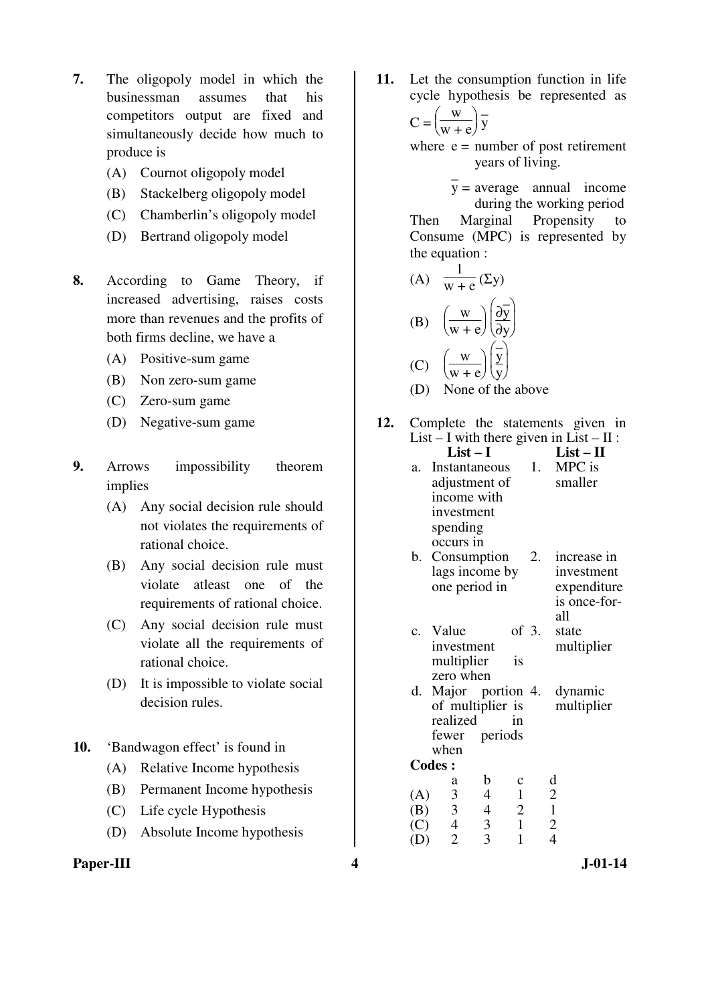- **7.** The oligopoly model in which the businessman assumes that his competitors output are fixed and simultaneously decide how much to produce is
	- (A) Cournot oligopoly model
	- (B) Stackelberg oligopoly model
	- (C) Chamberlin's oligopoly model
	- (D) Bertrand oligopoly model
- **8.** According to Game Theory, if increased advertising, raises costs more than revenues and the profits of both firms decline, we have a
	- (A) Positive-sum game
	- (B) Non zero-sum game
	- (C) Zero-sum game
	- (D) Negative-sum game
- **9.** Arrows impossibility theorem implies
	- (A) Any social decision rule should not violates the requirements of rational choice.
	- (B) Any social decision rule must violate atleast one of the requirements of rational choice.
	- (C) Any social decision rule must violate all the requirements of rational choice.
	- (D) It is impossible to violate social decision rules.
- **10.** 'Bandwagon effect' is found in
	- (A) Relative Income hypothesis
	- (B) Permanent Income hypothesis
	- (C) Life cycle Hypothesis
	- (D) Absolute Income hypothesis
- Paper-III **4** J-01-14

**11.** Let the consumption function in life cycle hypothesis be represented as  $C =$ I ſ J  $\cdot \mid$  $W$  $w + e$ – y

where  $e =$  number of post retirement years of living.

 $y =$  average annual income during the working period Then Marginal Propensity to Consume (MPC) is represented by the equation :

(A) 
$$
\frac{1}{w + e} (\Sigma y)
$$
  
\n(B)  $\left(\frac{w}{w + e}\right) \left(\frac{\partial y}{\partial y}\right)$   
\n(C)  $\left(\frac{w}{w + e}\right) \left(\frac{\overline{y}}{y}\right)$ 

(D) None of the above

- **12.** Complete the statements given in List – I with there given in List – II :<br>List – I List – II List – II
	- a. Instantaneous adjustment of income with investment spending occurs in 1. MPC is smaller b. Consumption
	- lags income by one period in 2. increase in investment expenditure is once-for-
	- all c. Value of  $3$ . investment multiplier is zero when state multiplier
	- d. Major portion of multiplier is realized in fewer periods when 4. dynamic multiplier

|     | a | n | Ċ | d                           |
|-----|---|---|---|-----------------------------|
| (A) | 3 | 1 |   | 2                           |
| (B) | 3 |   | 2 |                             |
| (C) | 4 | 3 |   | $\mathcal{D}_{\mathcal{L}}$ |
| (D) | 2 |   |   |                             |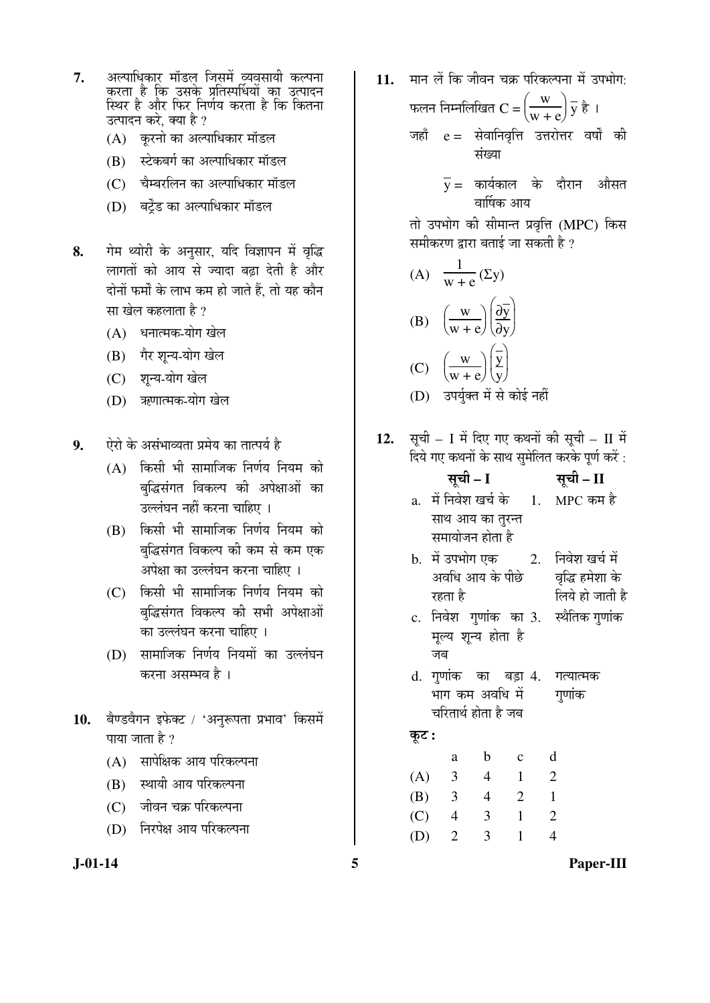- 7. अल्पाधिकार् मॉडल् जिसमें व्यवसायी कल्पना कूरता है कि उसके प्रतिर्स्पार्धयों का उत्पादन स्थिर है औ्र फिर<sub>्</sub>निर्णय करता है कि कितना उत्पादन करे. क्या है ?
	- (A) करनो का अल्पाधिकार मॉडल
	- (B) स्टेकबर्ग का अल्पाधिकार मॉडल
	- $(C)$  वैम्बरलिन का अल्पाधिकार मॉडल
	- (D) बर्टेंड का अल्पाधिकार मॉडल
- 8. गेम थ्योरी के अनुसार, यदि विज्ञापन में वृद्धि लागतों को आय से ज्यादा बढा देती है और दोनों फर्मों के लाभ कम हो जाते हैं. तो यह कौन सा खेल कहलाता है ?
	- (A) धनात्मक-योग खेल
	- (B) गैर शून्य-योग खेल
	- (C) शन्य-योग खेल
	- (D) ऋणात्मक-योग खेल

**9.** bोरो के असंभाव्यता प्रमेय का तात्पर्य है

- $(A)$  किसी भी सामाजिक निर्णय नियम को बुद्धिसंगत विकल्प की अपेक्षाओं का उल्लंघन नहीं करना चाहिए ।
- $(B)$  किसी भी सामाजिक निर्णय नियम को बुद्धिसंगत विकल्प की कम से कम एक अपेक्षा का उल्लंघन करना चाहिए ।
- $(C)$  किसी भी सामाजिक निर्णय नियम को बद्धिसंगत विकल्प की सभी अपेक्षाओं का उल्लंघन करना चाहिए ।
- (D) सामाजिक निर्णय नियमों का उल्लंघन करना असम्भव है ।
- 10. बैण्डवैगन इफेक्ट / 'अनुरूपता प्रभाव' किसमें पाया जाता है  $\gamma$ 
	- (A) सापेक्षिक आय परिकल्पना
	- (B) स्थायी आय परिकल्पना
	- (C) जीवन चक्र परिकल्पना
	- (D) निरपेक्ष आय परिकल्पना

11. मान लें कि जीवन चक्र परिकल्पना में उपभोग·

फलन निम्नलिखित  $\mathbf{C}$  = $\Big(\,$  $\frac{w}{+e}$  $w + e$  $\frac{1}{y}$  है । जहाँ  $e = \dot{x}$ वानिवृत्ति उत्तरोत्तर वर्षों की संख्या

> $\bar{\textbf{y}}$ = कार्यकाल के दौरान औसत वार्षिक आय

तो उपभोग की सीमान्त प्रवृत्ति (MPC) किस समीकरण द्वारा बताई जा सकती है ?

(A) 
$$
\frac{1}{w + e} (\Sigma y)
$$
  
\n(B)  $\left(\frac{w}{w + e}\right) \left(\frac{\partial \overline{y}}{\partial y}\right)$   
\n(C)  $\left(\frac{w}{w + e}\right) \left(\frac{\overline{y}}{y}\right)$   
\n(D)  $\overline{3} \overline{q} \overline{q} \overline{q} \overline{m} \overline{q} \overline{m} \overline{m} \overline{m} \overline{m} \overline{m} \overline{m} \overline{m} \overline{m} \overline{m} \overline{m} \overline{m} \overline{m} \overline{m} \overline{m} \overline{m} \overline{m} \overline{m} \overline{m} \overline{m} \overline{m} \overline{m} \overline{m} \overline{m} \overline{m} \overline{m} \overline{m} \overline{m} \overline{m} \overline{m} \overline{m} \overline{m} \overline{m} \overline{m} \overline{m} \overline{m} \overline{m} \overline{m} \overline{m} \overline{m} \overline{m} \overline{m} \overline{m} \overline{m} \overline{m} \overline{m} \overline{m} \overline{m} \overline{m} \overline{m} \overline{m} \overline{m} \overline{m} \overline{m} \overline{m} \overline{m} \overline{m} \overline{m} \overline{m} \overline{m} \overline{m} \overline{m} \overline{m} \overline{m} \overline{m} \overline{m} \overline{m} \overline{m} \overline{m} \overline{m} \overline{m} \overline{m} \overline{m} \overline{m} \overline{m} \overline{m} \overline{m} \overline{m} \overline{m} \overline{m} \overline{m} \overline{m} \overline{m} \overline{m} \overline{m} \overline{m} \overline{m} \overline{m} \overline{m} \overline{m} \overline{m} \overline{m} \overline{m} \overline{m} \overline{m} \overline{m} \overline{m} \overline{m} \overline{m} \overline{m} \overline{m} \overline{m} \overline{m} \overline{m} \overline{m} \over$ 

12. सूची – I में दिए गए कथनों की सूची – II में दिये गए कथनों के साथ सुमेलित करके पूर्ण करें :

|       |                                 | सूची – I       |                 |                          | सूची – II                                    |
|-------|---------------------------------|----------------|-----------------|--------------------------|----------------------------------------------|
|       |                                 |                |                 |                          | a. में निवेश खर्च के     1.    MPC कम है     |
|       | साथ आय का तुरन्त                |                |                 |                          |                                              |
|       | समायोजन होता है                 |                |                 |                          |                                              |
|       |                                 |                |                 |                          | b.  में उपभोग एक        2.    निवेश खर्च में |
|       |                                 |                |                 |                          | अवधि आय के पीछे — वृद्धि हमेशा के            |
|       | रहता है                         |                |                 |                          | लिये हो जाती है                              |
|       |                                 |                |                 |                          | c. निवेश गुणांक का 3. स्थैतिक गुणांक         |
|       | मूल्य शून्य होता है             |                |                 |                          |                                              |
|       | जब                              |                |                 |                          |                                              |
|       | d. गुणांक का बड़ां 4. गत्यात्मक |                |                 |                          |                                              |
|       |                                 |                | भाग कम अवधि में |                          | गणांक                                        |
|       | चरितार्थ होता है जब             |                |                 |                          |                                              |
| कूट : |                                 |                |                 |                          |                                              |
|       | a                               | $\mathbf b$    | $\mathbf{c}$    | d                        |                                              |
|       | (A) 3                           | $\overline{4}$ | $\blacksquare$  | $\overline{\phantom{a}}$ |                                              |
|       | $(B)$ 3 4 2 1                   |                |                 |                          |                                              |
|       |                                 |                |                 |                          |                                              |
|       | $(C)$ 4 3 1                     |                |                 | $\overline{2}$           |                                              |
|       | $(D)$ 2                         | 3              | $\mathbf{1}$    | $\overline{4}$           |                                              |
|       |                                 |                |                 |                          |                                              |

**J-01-14 5 Paper-III**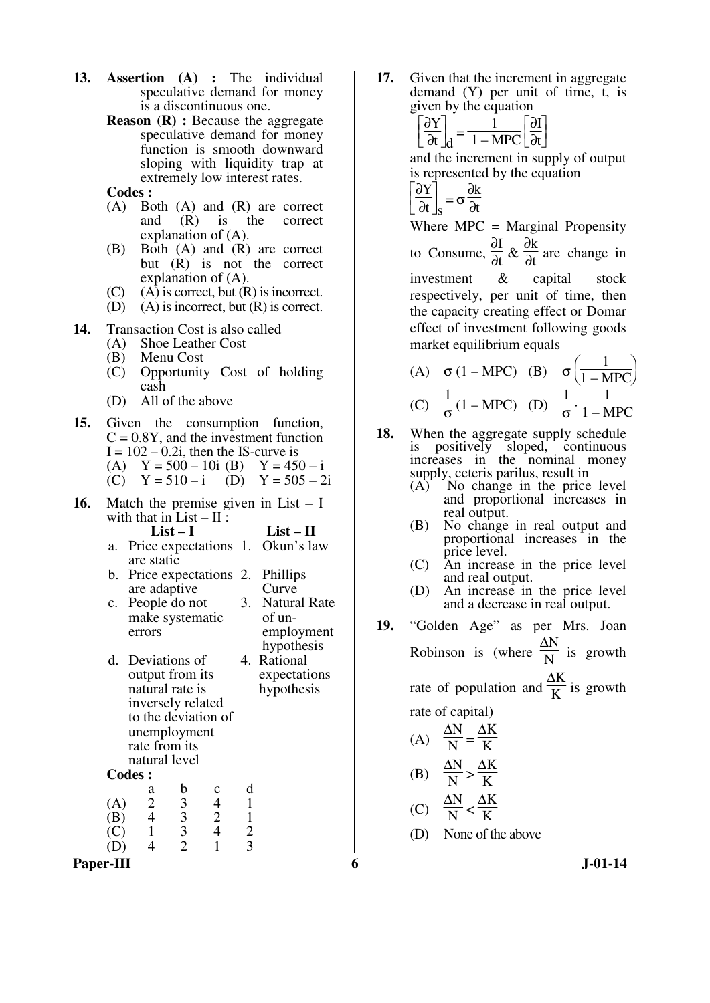- **13. Assertion (A) :** The individual speculative demand for money is a discontinuous one.
	- **Reason (R) :** Because the aggregate speculative demand for money function is smooth downward sloping with liquidity trap at extremely low interest rates.
	- **Codes :**
	- (A) Both (A) and (R) are correct and (R) is the correct explanation of (A).
	- (B) Both (A) and (R) are correct but (R) is not the correct explanation of (A).
	- (C) (A) is correct, but  $(R)$  is incorrect.<br>(D) (A) is incorrect, but  $(R)$  is correct.
	- $(A)$  is incorrect, but  $(R)$  is correct.

**14.** Transaction Cost is also called (A) Shoe Leather Cost

- Shoe Leather Cost
- (B) Menu Cost
- (C) Opportunity Cost of holding cash
- (D) All of the above
- **15.** Given the consumption function,  $C = 0.8Y$ , and the investment function  $I = 102 - 0.2i$ , then the IS-curve is (A)  $Y = 500 - 10i$  (B)  $Y = 450 - i$
- (C)  $Y = 510 i$  (D)  $Y = 505 2i$
- **16.** Match the premise given in List I with that in List –  $II$  :<br>List – I
	- List **II** a. Price expectations 1. Okun's law are static
	- b. Price expectations 2. Phillips are adaptive Curve
	- c. People do not make systematic errors 3. Natural Rate of unemployment
	- hypothesis d. Deviations of output from its natural rate is inversely related to the deviation of unemployment rate from its natural level 4. Rational expectations hypothesis
	- **Codes :**

|     | a | b | Ċ | d |
|-----|---|---|---|---|
| (A) | 2 | 3 | 4 |   |
| (B) | 4 | 3 | 2 |   |
| (C) |   | 3 |   | 2 |
| (D) | 4 | 2 |   | 3 |

Paper-III 6 J-01-14

**17.** Given that the increment in aggregate demand (Y) per unit of time, t, is given by the equation

$$
\left[\frac{\partial Y}{\partial t}\right]_d = \frac{1}{1 - \text{MPC}} \left[\frac{\partial I}{\partial t}\right]
$$

and the increment in supply of output is represented by the equation

 $\overline{\phantom{a}}$ 

$$
\left[\frac{\partial Y}{\partial t}\right]_S = \sigma \frac{\partial k}{\partial t}
$$

Where MPC = Marginal Propensity to Consume, ∂I  $\frac{\partial}{\partial t}$  & ∂k  $\frac{\partial \mathbf{r}}{\partial t}$  are change in investment & capital stock respectively, per unit of time, then the capacity creating effect or Domar effect of investment following goods market equilibrium equals

(A) 
$$
\sigma (1 - \text{MPC})
$$
 (B)  $\sigma \left( \frac{1}{1 - \text{MPC}} \right)$   
(C)  $\frac{1}{\sigma} (1 - \text{MPC})$  (D)  $\frac{1}{\sigma} \cdot \frac{1}{1 - \text{MPC}}$ 

- **18.** When the aggregate supply schedule is positively sloped, continuous increases in the nominal money supply, ceteris parilus, result in
	- (A) No change in the price level and proportional increases in real output.
	- (B) No change in real output and proportional increases in the price level.
	- (C) An increase in the price level and real output.
	- (D) An increase in the price level and a decrease in real output.
- **19.** "Golden Age" as per Mrs. Joan Robinson is (where ∆N  $\frac{d}{dx}$  is growth

rate of population and ∆K  $\frac{d}{b}$  is growth rate of capital)

(A) 
$$
\frac{\Delta N}{N} = \frac{\Delta K}{K}
$$
  
(B) 
$$
\frac{\Delta N}{N} > \frac{\Delta K}{K}
$$
  
(C) 
$$
\frac{\Delta N}{N} < \frac{\Delta K}{K}
$$

(D) None of the above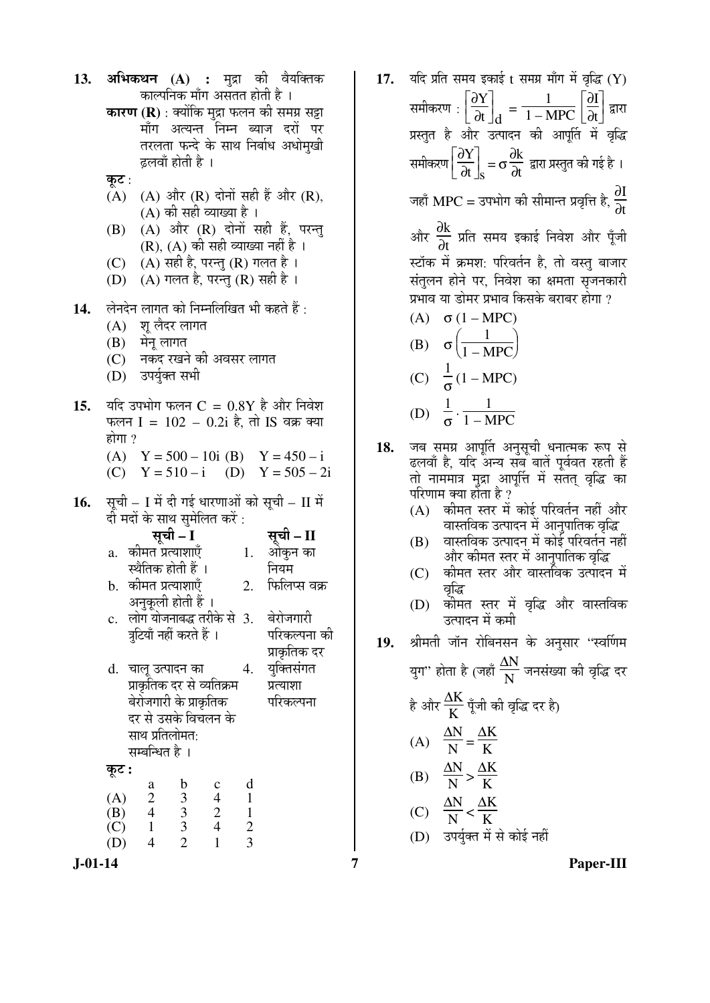|     |                           | काल्पनिक माँग असतत होती है ।                                |                |                | <b>कारण (R)</b> : क्योंकि मुद्रा फलन की समग्र सट्टा                           |
|-----|---------------------------|-------------------------------------------------------------|----------------|----------------|-------------------------------------------------------------------------------|
|     |                           |                                                             |                |                | माँग अत्यन्त निम्न ब्याज दरों पर                                              |
|     |                           |                                                             |                |                | तरलता फन्दे के साथ निर्बाध अधोमुखी                                            |
|     |                           | ढ़लवाँ होती है ।                                            |                |                |                                                                               |
|     | कूट :                     |                                                             |                |                |                                                                               |
|     | (A)                       |                                                             |                |                | (A) और (R) दोनों सही हैं और (R),                                              |
|     |                           | (A) की सही व्याख्या है ।                                    |                |                |                                                                               |
|     | (B)                       |                                                             |                |                | (A) और (R) दोनों सही हैं, परन्तु                                              |
|     |                           | (R), (A) की सही व्याख्या नहीं है ।                          |                |                |                                                                               |
|     |                           | (C) (A) सही है, परन्तु (R) गलत है।                          |                |                |                                                                               |
|     |                           | (D) (A) गलत है, परन्तु (R) सही है।                          |                |                |                                                                               |
| 14. |                           | लेनदेन लागत को निम्नलिखित भी कहते हैं :                     |                |                |                                                                               |
|     |                           | (A) शू लैदर लागत                                            |                |                |                                                                               |
|     | (B) मेनू लागत             |                                                             |                |                |                                                                               |
|     |                           | (C) नकद रखने की अवसर लागत                                   |                |                |                                                                               |
|     |                           | (D) उपर्युक्त सभी                                           |                |                |                                                                               |
|     |                           |                                                             |                |                |                                                                               |
| 15. |                           |                                                             |                |                | यदि उपभोग फलन $C = 0.8Y$ है और निवेश                                          |
|     | होगा ?                    |                                                             |                |                | फलन I = $102 - 0.2i$ है, तो IS वक्र क्या                                      |
|     |                           |                                                             |                |                |                                                                               |
|     |                           |                                                             |                |                | (A) $Y = 500 - 10i$ (B) $Y = 450 - i$<br>(C) $Y = 510 - i$ (D) $Y = 505 - 2i$ |
|     |                           |                                                             |                |                |                                                                               |
| 16. |                           |                                                             |                |                | सूची – I में दी गई धारणाओं को सूची – II में                                   |
|     |                           | दी मदों के साथ सुमेलित करें :                               |                |                |                                                                               |
|     |                           | सूची – I                                                    |                |                | सूची – II                                                                     |
|     | a.                        | कीमत प्रत्याशाएँ                                            |                | 1.             | ओकुन का                                                                       |
|     |                           | स्थैतिक होती हैं ।                                          |                |                | नियम                                                                          |
|     | b.                        | कीमत प्रत्याशाएँ                                            |                | 2.             | फिलिप्स वक्र                                                                  |
|     |                           | अनुकूली होती हैं ।                                          |                |                |                                                                               |
|     | c.                        |                                                             |                |                | लोग योजनाबद्ध तरीके से 3. बेरोजगारी                                           |
|     |                           | त्रुटियाँ नहीं करते हैं ।                                   |                |                | परिकल्पना की                                                                  |
|     |                           |                                                             |                |                | प्राकृतिक दर                                                                  |
|     | d.                        | चालू उत्पादन का                                             |                | 4.             | युक्तिसंगत                                                                    |
|     |                           | प्राकृतिक दर से व्यतिक्रम                                   |                |                | प्रत्याशा                                                                     |
|     |                           | बेरोजगारी के प्राकृतिक                                      |                |                | परिकल्पना                                                                     |
|     |                           | दर से उसके विचलन के<br>साथ प्रतिलोमत:                       |                |                |                                                                               |
|     |                           | सम्बन्धित है ।                                              |                |                |                                                                               |
|     |                           |                                                             |                |                |                                                                               |
|     | कूट :                     | $\mathbf b$<br>a                                            | $\mathbf c$    | d              |                                                                               |
|     | (A)                       |                                                             | $\overline{4}$ | $\mathbf{1}$   |                                                                               |
|     | (B)                       | $\frac{2}{4}$<br>$\begin{array}{c} 3 \\ 3 \\ 3 \end{array}$ | $\frac{2}{4}$  | $\mathbf{1}$   |                                                                               |
|     | $\overline{(\mathbf{C})}$ | $\mathbf 1$                                                 |                | $\overline{c}$ |                                                                               |
|     | (D)                       | $\overline{2}$<br>$\overline{4}$                            | $\mathbf{1}$   | $\overline{3}$ |                                                                               |

1**3. अभिकथन (A) :** मद्रा की वैयक्तिक

17. यदि प्रति समय इकाई t समय्र माँग में वृद्धि (Y) समीकरण $\left.\rule{0pt}{12pt}\right]$  $\frac{\partial Y}{\partial t}$  $\frac{d}{dt}$ <sub>d</sub> = 1  $\frac{1}{1 - \text{MPC}}$  ∂I  $\frac{\partial \mathbf{I}}{\partial \mathbf{t}}$  द्वारा प्रस्तुत है और उत्पादन की आपूर्ति में वृद्धि समीकरण $\Bigl[$  ∂Y  $\frac{\partial f}{\partial t}\Big|_{S} = \sigma$ ∂k  $\frac{\partial \mathbf{K}}{\partial t}$  द्वारा प्रस्तुत की गई है । जहाँ MPC = उपभोग की सीमान्त प्रवृत्ति है,  $\frac{\partial \boldsymbol{I}}{\partial t}$ और  $\frac{\partial \mathrm{k}}{\partial \mathrm{t}}$  प्रति समय इकाई निवेश और पूँजी स्टॉक में क्रमश: परिवर्तन है, तो वस्तु बाजार संतुलन होने पर, निवेश का क्षमता सृजनकारी प्रभाव या डोमर प्रभाव किसके बराबर होगा ? (A)  $\sigma$  (1 – MPC) (B)  $\sigma$  $\frac{1}{\text{MPC}}$  $1 - \text{MPC}$  (C) 1

(C) 
$$
\frac{1}{\sigma}(1 - \text{MPC})
$$
  
(D)  $\frac{1}{\sigma} \cdot \frac{1}{1 - \text{MPC}}$ 

- 18. जब समग्र आपूर्ति अनुसूची धनात्मक रूप से ढलवाँ है. यदि अन्य सब बातें पूर्ववत रहती हैं तो नाममात्र मुद्रा आपूर्त्ति में सतत् वृद्धि का परिणाम क्या होता है ?
	- (A) कीमत स्तर में कोई परिवर्तन नहीं और वास्तविक उत्पादन में आनुपातिक वृद्धि
	- (B) वास्तविक उत्पादन में कोई परिवर्तन नहीं और कीमत स्तर में आनुपातिक वृद्धि
	- (C) कीमत स्तर और वास्तविक उत्पादन में वृद्धि
	- (D) कोमत स्तर में वृद्धि और वास्तविक उत्पादन में कमी
- 19. श्रीमती जॉन रोबिनसन के अनुसार "स्वर्णिम

युग'' होता है (जहाँ  $\frac{\Delta \rm N}{\rm N}$  जनसंख्या की वृद्धि दर

$$
\frac{\partial K}{\partial x} = \frac{\partial K}{\partial x} \left( \frac{K}{\partial x} \right)
$$
\n
$$
(A) \quad \frac{\partial N}{N} = \frac{\partial K}{K}
$$
\n
$$
(B) \quad \frac{\partial N}{N} > \frac{\partial K}{K}
$$
\n
$$
(C) \quad \frac{\partial N}{N} < \frac{\partial K}{K}
$$

(D) उपर्युक्त में से कोई नहीं

**J-01-14 7 Paper-III**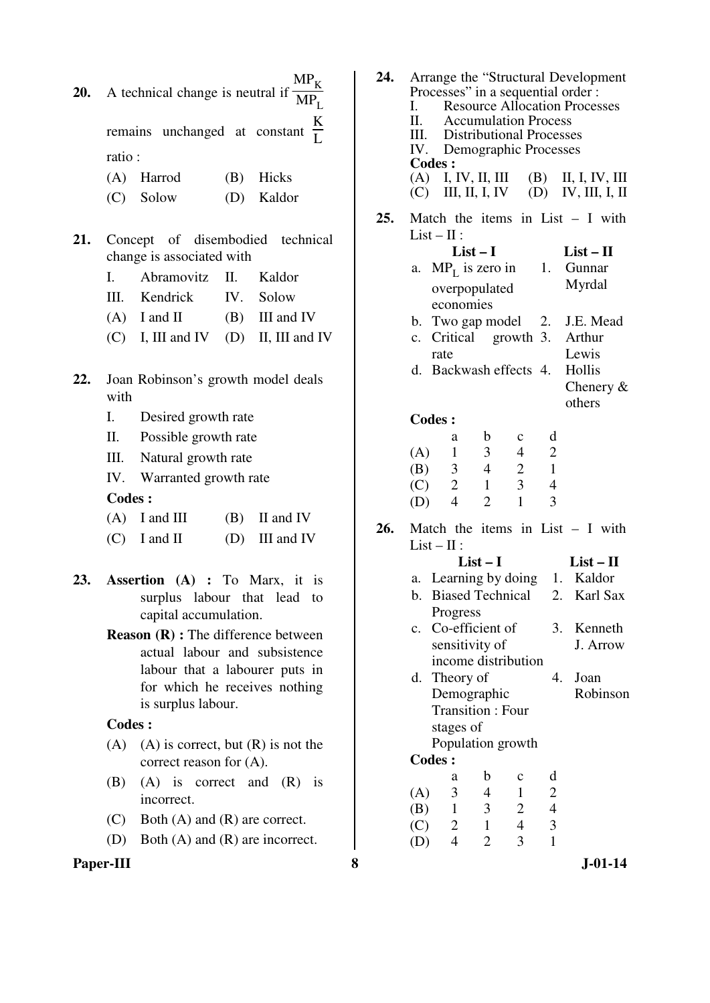**20.** A technical change is neutral if  $MP_K$  $MP_L$ 

> remains unchanged at constant K L ratio :

- (A) Harrod (B) Hicks
- (C) Solow (D) Kaldor
- **21.** Concept of disembodied technical change is associated with
	- I. Abramovitz II. Kaldor III. Kendrick IV. Solow  $(A)$  I and II  $(B)$  III and IV  $(C)$  I, III and IV  $(D)$  II, III and IV
- **22.** Joan Robinson's growth model deals
	- with
	- I. Desired growth rate
	- II. Possible growth rate
	- III. Natural growth rate
	- IV. Warranted growth rate

# **Codes :**

- $(A)$  I and III (B) II and IV
- $(C)$  I and II (D) III and IV
- **23. Assertion (A) :** To Marx, it is surplus labour that lead to capital accumulation.
	- **Reason (R) :** The difference between actual labour and subsistence labour that a labourer puts in for which he receives nothing is surplus labour.
	- **Codes :**
	- $(A)$  (A) is correct, but  $(R)$  is not the correct reason for (A).
	- (B) (A) is correct and (R) is incorrect.
	- (C) Both (A) and (R) are correct.
	- (D) Both (A) and (R) are incorrect.

# Paper-III 8 **8** J-01-14

| 24. | L.<br><b>Codes:</b> | Processes" in a sequential order :<br>II. Accumulation Process<br>III. Distributional Processes<br>IV. Demographic Processes |                |                         |                | Arrange the "Structural Development<br><b>Resource Allocation Processes</b><br>$(A)$ I, IV, II, III $(B)$ II, I, IV, III |
|-----|---------------------|------------------------------------------------------------------------------------------------------------------------------|----------------|-------------------------|----------------|--------------------------------------------------------------------------------------------------------------------------|
|     |                     |                                                                                                                              |                |                         |                | $(C)$ III, II, I, IV $(D)$ IV, III, I, II                                                                                |
| 25. |                     | $List - II$ :                                                                                                                | $List-I$       |                         |                | Match the items in List $- I$ with<br>$List - II$                                                                        |
|     | a.                  | overpopulated<br>economies                                                                                                   |                |                         |                | $MP_L$ is zero in 1. Gunnar<br>Myrdal                                                                                    |
|     | b.                  |                                                                                                                              |                |                         |                | Two gap model 2. J.E. Mead                                                                                               |
|     | c.                  |                                                                                                                              |                |                         |                | Critical growth 3. Arthur                                                                                                |
|     |                     | rate                                                                                                                         |                |                         |                | Lewis                                                                                                                    |
|     |                     | d. Backwash effects 4.                                                                                                       |                |                         |                | Hollis<br>Chenery $\&$                                                                                                   |
|     |                     |                                                                                                                              |                |                         |                | others                                                                                                                   |
|     | <b>Codes:</b>       |                                                                                                                              |                |                         |                |                                                                                                                          |
|     |                     | a                                                                                                                            | $\mathbf b$    | $\mathbf c$             | d              |                                                                                                                          |
|     | (A)                 | $\overline{1}$                                                                                                               | 3 <sup>7</sup> | $\overline{4}$          | $\overline{2}$ |                                                                                                                          |
|     |                     | $(B)$ 3                                                                                                                      | $\overline{4}$ | 2                       | $\overline{1}$ |                                                                                                                          |
|     |                     | $(C)$ 2                                                                                                                      | $\overline{1}$ | $\overline{\mathbf{3}}$ | $\overline{4}$ |                                                                                                                          |
|     | (D)                 | $\overline{4}$                                                                                                               | $\overline{2}$ | $\mathbf{1}$            | 3              |                                                                                                                          |
| 26. |                     |                                                                                                                              |                |                         |                | Match the items in List $- I$ with                                                                                       |
|     |                     | $List - II$ :                                                                                                                |                |                         |                |                                                                                                                          |
|     |                     |                                                                                                                              | List – I       |                         |                | $List-II$                                                                                                                |
|     |                     |                                                                                                                              |                |                         |                | a. Learning by doing 1. Kaldor                                                                                           |
|     | b.                  | <b>Biased Technical</b>                                                                                                      |                |                         |                | 2. Karl Sax                                                                                                              |
|     |                     | Progress                                                                                                                     |                |                         |                |                                                                                                                          |
|     | c.                  | Co-efficient of                                                                                                              |                |                         | 3.             | Kenneth                                                                                                                  |
|     |                     | sensitivity of                                                                                                               |                |                         |                | J. Arrow                                                                                                                 |
|     |                     | income distribution                                                                                                          |                |                         |                |                                                                                                                          |
|     | d.                  | Theory of                                                                                                                    |                |                         | 4.             | Joan                                                                                                                     |
|     |                     | Demographic                                                                                                                  |                |                         |                | Robinson                                                                                                                 |
|     |                     | <b>Transition: Four</b>                                                                                                      |                |                         |                |                                                                                                                          |
|     |                     | stages of                                                                                                                    |                |                         |                |                                                                                                                          |
|     |                     | Population growth                                                                                                            |                |                         |                |                                                                                                                          |
|     | <b>Codes:</b>       |                                                                                                                              |                |                         |                |                                                                                                                          |
|     |                     | a                                                                                                                            | b              | $\mathbf c$             | d              |                                                                                                                          |
|     | (A)                 | 3                                                                                                                            | 4              | 1                       | $\overline{c}$ |                                                                                                                          |
|     | (B)                 | 1                                                                                                                            | 3              | $\overline{c}$          | $\overline{4}$ |                                                                                                                          |

(C)  $2 \t 1 \t 4 \t 3$ <br>(D)  $4 \t 2 \t 3 \t 1$ (D) 4 2 3 1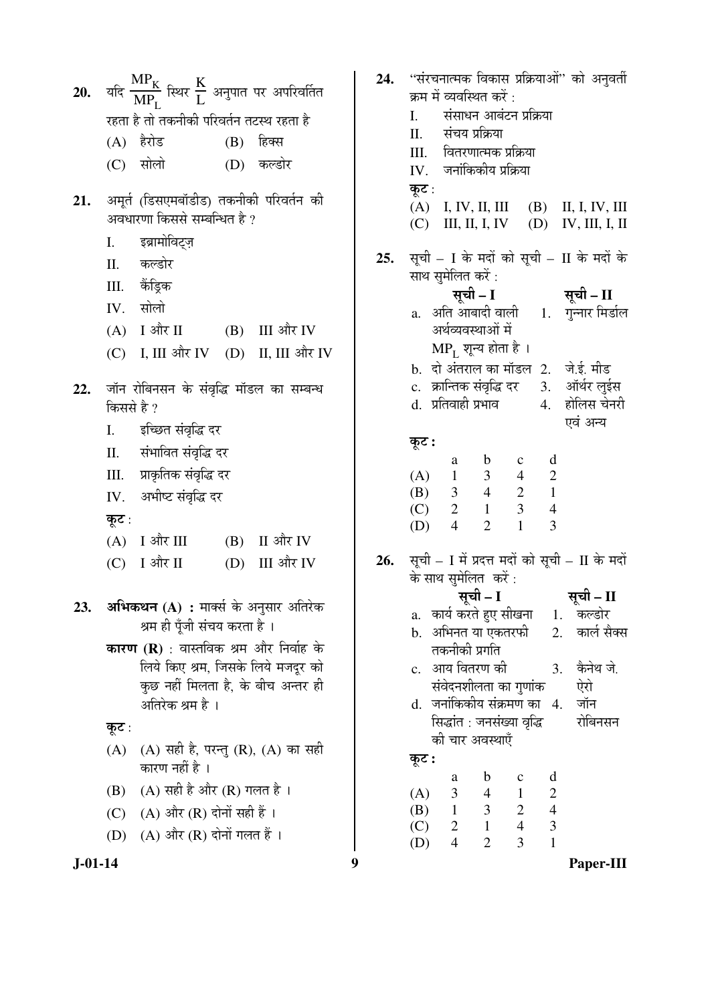| 20.       | यदि $\frac{\text{MP}_{K}}{\text{MP}_{I}}$ स्थिर $\frac{K}{L}$ अनुपात पर अपरिवर्तित | 24. | "संरचनात्मक विकास प्रक्रियाओं" को अनुवर्ती                                                         |
|-----------|------------------------------------------------------------------------------------|-----|----------------------------------------------------------------------------------------------------|
|           |                                                                                    |     | क्रम में व्यवस्थित करें :<br>संसाधन आबंटन प्रक्रिया                                                |
|           | रहता है तो तकनीकी परिवर्तन तटस्थ रहता है                                           |     | I.<br>संचय प्रक्रिया<br>II.                                                                        |
|           | (A) हैरोड<br>हिक्स<br>(B)                                                          |     | वितरणात्मक प्रक्रिया<br>III.                                                                       |
|           | सोलो<br>(D) कल्डोर<br>(C)                                                          |     | जनांकिकीय प्रक्रिया<br>IV.                                                                         |
| 21.       | अमूर्त (डिसएमबॉडीड) तकनीकी परिवर्तन की<br>अवधारणा किससे सम्बन्धित है ?             |     | कूट :<br>(A) I, IV, II, III (B) II, I, IV, III                                                     |
|           |                                                                                    |     | III, II, I, IV (D)<br>IV, III, I, II<br>(C)                                                        |
|           | इब्रामोविट्ज़<br>I.                                                                | 25. | सूची – I के मदों को सूची – II के मदों के                                                           |
|           | कल्डोर<br>II.                                                                      |     | साथ सुमेलित करें :                                                                                 |
|           | केंड्रिक<br>III.                                                                   |     | सूची – I सूची – II                                                                                 |
|           | सोलो<br>IV.                                                                        |     | a. अति आबादी वाली     1.    गुन्नार मिर्डाल                                                        |
|           | $(A)$ I और II<br>(B) III और IV                                                     |     | अर्थव्यवस्थाओं में                                                                                 |
|           | (C) I, III और IV (D) II, III और IV                                                 |     | $MP_{L}$ शून्य होता है ।                                                                           |
|           |                                                                                    |     | b. दो अंतराल का मॉडल 2. जे.ई. मीड                                                                  |
| 22.       | जॉन रोबिनसन के संवृद्धि मॉडल का सम्बन्ध                                            |     | c. क्रान्तिक संवृद्धि दर 3. ऑर्थर लुईस                                                             |
|           | किससे है ?                                                                         |     | d.  प्रतिवाही प्रभाव<br>4. होलिस चेनरी<br>एवं अन्य                                                 |
|           | इच्छित संवृद्धि दर<br>I.                                                           |     |                                                                                                    |
|           | संभावित संवृद्धि दर<br>Π.                                                          |     | कूट :<br>d<br>$\mathbf b$<br>a<br>$\mathbf{c}$                                                     |
|           | प्राकृतिक संवृद्धि दर<br>III.                                                      |     | (A) $\begin{array}{ccc} 1 & 3 & 4 \\ (B) & 3 & 4 & 2 \\ (C) & 2 & 1 & 3 \end{array}$<br>$\sqrt{2}$ |
|           | IV. अभीष्ट संवृद्धि दर                                                             |     | $\,1\,$                                                                                            |
|           | कूट :                                                                              |     | $\overline{4}$                                                                                     |
|           | $(A)$ I और III<br>(B) II और IV                                                     |     | $\mathbf{1}$<br>$\overline{3}$<br>$\overline{2}$<br>$\overline{4}$<br>(D)                          |
|           | I और II<br>(D) III और IV<br>(C)                                                    | 26. | सूची – I में प्रदत्त मदों को सूची – II के मदों                                                     |
|           |                                                                                    |     | के साथ सुमेलित करें:                                                                               |
|           |                                                                                    |     | सूची – II<br>सूची – I                                                                              |
| 23.       | अभिकथन (A) : मार्क्स के अनुसार अतिरेक                                              |     | a.   कार्य करते हुए सीखना<br>1.<br>कल्डोर                                                          |
|           | श्रम ही पूँजी संचय करता है ।                                                       |     | b.   अभिनत या एकतरफी<br>कार्ल सैक्स<br>2.                                                          |
|           | <b>कारण (R)</b> : वास्तविक श्रम और निर्वाह के                                      |     | तकनीकी प्रगति                                                                                      |
|           | लिये किए श्रम, जिसके लिये मजदूर को                                                 |     | c. आय वितरण की<br>कैनेथ जे.<br>3.                                                                  |
|           | कुछ नहीं मिलता है, के बीच अन्तर ही<br>अतिरेक श्रम है ।                             |     | ऐरो<br>संवेदनशीलता का गुणांक<br>d.  जनांकिकीय संक्रमण का   4.<br>जॉन                               |
|           |                                                                                    |     | रोबिनसन<br>सिद्धांत : जनसंख्या वृद्धि                                                              |
|           | कूट :                                                                              |     | को चार अवस्थाएँ                                                                                    |
|           | (A) सही है, परन्तु (R), (A) का सही<br>(A)<br>कारण नहीं है ।                        |     | कूट :                                                                                              |
|           | $(A)$ सही है और $(R)$ गलत है।<br>(B)                                               |     | d<br>$\mathbf b$<br>$\mathbf c$<br>a<br>$\overline{4}$<br>$\mathbf{1}$                             |
|           | $(A)$ और $(R)$ दोनों सही हैं।<br>(C)                                               |     | $\frac{2}{4}$<br>$\mathfrak{Z}$<br>(A)<br>$\overline{2}$<br>$(B)$ 1                                |
|           |                                                                                    |     | $\begin{array}{cc} 1 & 3 \\ 2 & 1 \end{array}$<br>$\overline{3}$<br>$\overline{4}$<br>(C)          |
|           | $(A)$ और $(R)$ दोनों गलत हैं।<br>(D)                                               |     | $\overline{3}$<br>$\overline{1}$<br>$\overline{4}$<br>$\overline{2}$<br>(D)                        |
| $J-01-14$ |                                                                                    | 9   | Paper-III                                                                                          |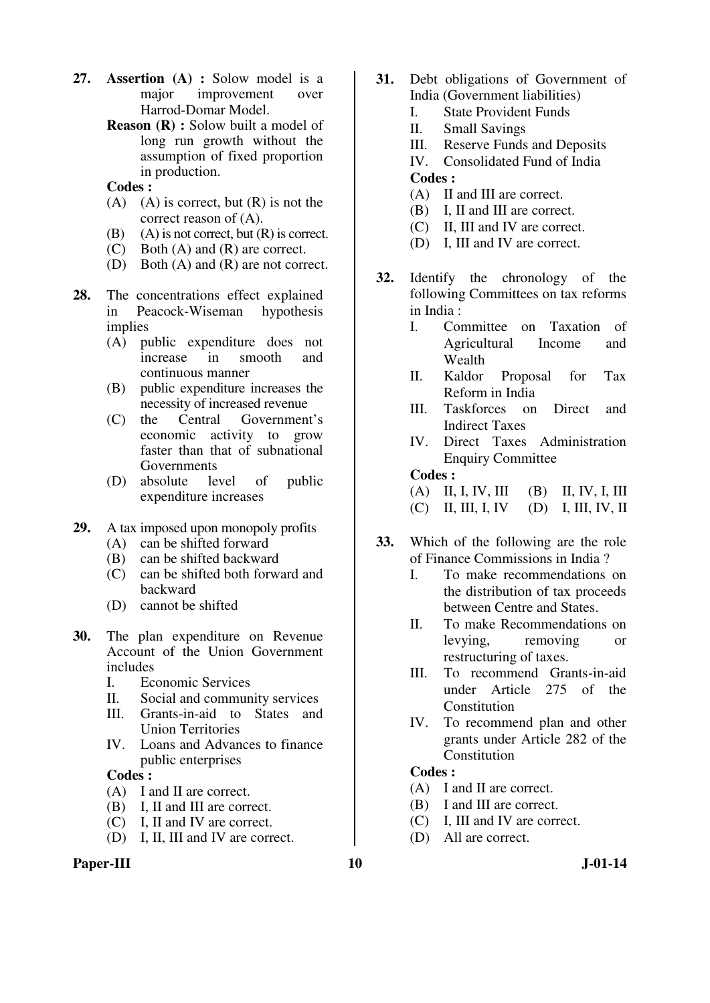- **27. Assertion (A) :** Solow model is a major improvement over Harrod-Domar Model.
	- **Reason (R) :** Solow built a model of long run growth without the assumption of fixed proportion in production.
	- **Codes :**
	- $(A)$   $(A)$  is correct, but  $(R)$  is not the correct reason of (A).
	- (B) (A) is not correct, but  $(R)$  is correct.
	- (C) Both (A) and (R) are correct.
	- (D) Both (A) and (R) are not correct.
- **28.** The concentrations effect explained in Peacock-Wiseman hypothesis implies
	- (A) public expenditure does not increase in smooth and continuous manner
	- (B) public expenditure increases the necessity of increased revenue<br>the Central Government
	- (C) the Central Government's economic activity to grow faster than that of subnational Governments
	- (D) absolute level of public expenditure increases
- **29.** A tax imposed upon monopoly profits<br>(A) can be shifted forward
	- can be shifted forward
	- (B) can be shifted backward
	- (C) can be shifted both forward and backward
	- (D) cannot be shifted
- **30.** The plan expenditure on Revenue Account of the Union Government includes
	- I. Economic Services
	- II. Social and community services
	- III. Grants-in-aid to States and Union Territories
	- IV. Loans and Advances to finance public enterprises

### **Codes :**

- (A) I and II are correct.
- (B) I, II and III are correct.
- (C) I, II and IV are correct.
- (D) I, II, III and IV are correct.

### **Paper-III** J-01-14

- **31.** Debt obligations of Government of India (Government liabilities)
	- I. State Provident Funds
	- II. Small Savings
	- III. Reserve Funds and Deposits
	- IV. Consolidated Fund of India

#### **Codes :**

- (A) II and III are correct.
- (B) I, II and III are correct.
- (C) II, III and IV are correct.
- (D) I, III and IV are correct.
- **32.** Identify the chronology of the following Committees on tax reforms in India :
	- I. Committee on Taxation of Agricultural Income and Wealth
	- II. Kaldor Proposal for Tax Reform in India
	- III. Taskforces on Direct and Indirect Taxes
	- IV. Direct Taxes Administration Enquiry Committee

### **Codes :**

# (A) II, I, IV, III (B) II, IV, I, III

- (C) II, III, I, IV (D) I, III, IV, II
- **33.** Which of the following are the role of Finance Commissions in India ?
	- I. To make recommendations on the distribution of tax proceeds between Centre and States.
	- II. To make Recommendations on levying, removing or restructuring of taxes.
	- III. To recommend Grants-in-aid under Article 275 of the Constitution
	- IV. To recommend plan and other grants under Article 282 of the **Constitution**

- (A) I and II are correct.
- (B) I and III are correct.
- (C) I, III and IV are correct.
- (D) All are correct.
-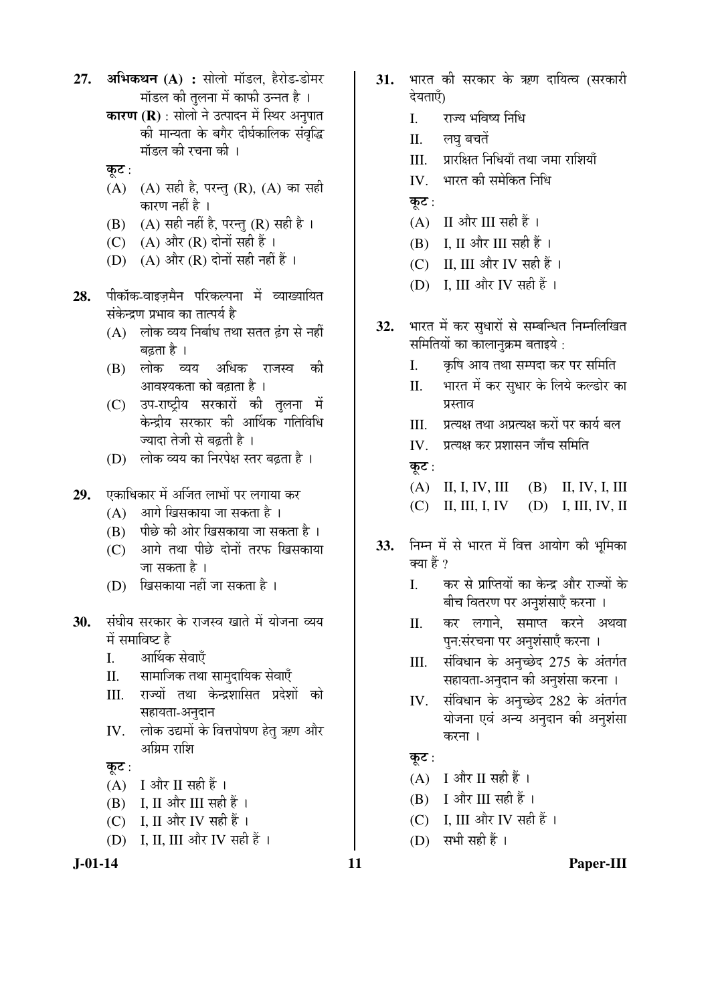- **27. अभिकथन (A) :** सोलो मॉडल, हैरोड-डोमर <u>मॉडल की तुलना में काफी उन्नत है</u> ।
	- **कारण (R)** : सोलो ने उत्पादन में स्थिर अनुपात की मान्यता के बगैर दीर्घकालिक संवृद्धि मॉडल की रचना की ।
	- कूट:
	- $(A)$   $(A)$  सही है, परन्तु  $(R)$ ,  $(A)$  का सही कारण नहीं है ।
	- (B)  $(A)$  सही नहीं है, परन्तु (R) सही है।
	- (C)  $(A)$  और  $(R)$  दोनों सही हैं।
	- (D)  $(A)$  और  $(R)$  दोनों सही नहीं हैं।
- 28. पीकॉक-वाइजमैन परिकल्पना में व्याख्यायित संकेन्द्रण प्रभाव का तात्पर्य है
	- $(A)$  लोक व्यय निर्बाध तथा सतत ढंग से नहीं बढता है ।
	- (B) लोक व्यय अधिक राजस्व की आवश्यकता को बढाता है ।
	- (C) उप-राष्ट्रीय सरकारों की तुलना में केन्द्रीय सरकार की आर्थिक गतिविधि ज्यादा तेजी से बढती है<sup>1</sup>
	- (D) लोक व्यय का निरपेक्ष स्तर बढ़ता है।
- 29. एकाधिकार में अर्जित लाभों पर लगाया कर
	- (A) आगे खिसकाया जा सकता है ।
	- $(B)$  पीछे की ओर खिसकाया जा सकता है।
	- $(C)$  आगे तथा पीछे दोनों तरफ खिसकाया जा सकता है ।
	- $(D)$  खिसकाया नहीं जा सकता है ।
- 30. संघीय सरकार के राजस्व खाते में योजना व्यय में समाविष्ट है
	- I. आर्थिक सेवाएँ
	- II. सामाजिक तथा सामुदायिक सेवाएँ
	- III. राज्यों तथा केन्द्रशासित प्रदेशों को सहायता-अनुदान
	- IV. लोक उद्यमों के वित्तपोषण हेतु ऋण और अग्रिम राशि

# कूट $:$

- $(A)$  I और II सही हैं।
- $(B)$  I, II और III सही हैं।
- (C) I, II और IV सही हैं।
- (D) I, II, III और IV सही हैं ।
- 
- 31. भारत की सरकार के ऋण दायित्व (सरकारी देयताएँ)
	- I. राज्य भविष्य निधि
	- II. लघ बचतें
	- III. प्रारक्षित निधियाँ तथा जमा राशियाँ
	- $IV.$  भारत की समेकित निधि
	- कूट $:$
	- $(A)$  II और III सही हैं।
	- $(B)$  I, II और III सही हैं।
	- (C) II, III और IV सही हैं।
	- (D) I, III और IV सही हैं ।
- 32. भारत में कर सुधारों से सम्बन्धित निम्नलिखित समितियों का कालानुक्रम बताइये :
	- I. कृषि आय तथा सम्पदा कर पर समिति
	- II. भारत में कर सुधार के लिये कल्डोर का प्रस्ताव
	- III. प्रत्यक्ष तथा अप्रत्यक्ष करों पर कार्य बल
	- IV. जत्यक्ष कर प्रशासन जाँच समिति
	- कूट :
	- (A) II, I, IV, III (B) II, IV, I, III
	- (C) II, III, I, IV (D) I, III, IV, II
- 33. निम्न में से भारत में वित्त आयोग की भूमिका क्या हैं ?
	- I. कर से प्राप्तियों का केन्द्र और राज्यों के बीच वितरण पर अनुशंसाएँ करना ।
	- II. कर लगाने. समाप्त करने अथवा पुन:संरचना पर अनुशंसाएँ करना ।
	- III. संविधान के अनुच्छेद 275 के अंतर्गत सहायता-अनुदान की अनुशंसा करना ।
	- IV. संविधान के अनुच्छेद 282 के अंतर्गत योजना एवं अन्य अनुदान की अनुशंसा करना ।

# कूट:

- $(A)$  I और II सही हैं।
- $(B)$  I और III सही हैं।
- $(C)$  I, III और IV सही हैं।
- $(D)$  सभी सही हैं।

### **J-01-14 11 Paper-III**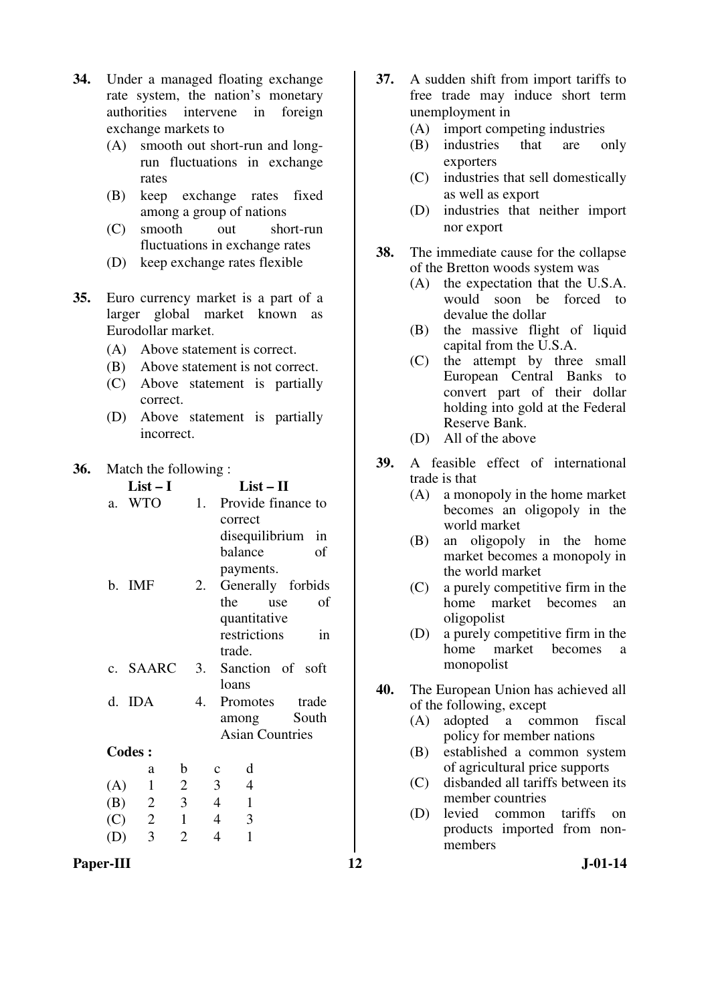- **34.** Under a managed floating exchange rate system, the nation's monetary authorities intervene in foreign exchange markets to
	- (A) smooth out short-run and longrun fluctuations in exchange rates
	- (B) keep exchange rates fixed among a group of nations
	- (C) smooth out short-run fluctuations in exchange rates
	- (D) keep exchange rates flexible
- **35.** Euro currency market is a part of a larger global market known as Eurodollar market.
	- (A) Above statement is correct.
	- (B) Above statement is not correct.
	- (C) Above statement is partially correct.
	- (D) Above statement is partially incorrect.

**36.** Match the following : **List – I List – II**  a. WTO 1. Provide finance to correct disequilibrium in balance of payments. b. IMF 2. Generally forbids the use of quantitative restrictions in trade. c. SAARC 3. Sanction of soft loans d. IDA 4. Promotes trade among South Asian Countries **Codes :**  a b c d (A) 1 2 3 4 (B) 2 3 4 1  $(C)$  2 1 4 3 (D) 3 2 4 1

- **37.** A sudden shift from import tariffs to free trade may induce short term unemployment in
	- (A) import competing industries
	- (B) industries that are only exporters
	- (C) industries that sell domestically as well as export
	- (D) industries that neither import nor export
- **38.** The immediate cause for the collapse of the Bretton woods system was
	- (A) the expectation that the U.S.A. would soon be forced to devalue the dollar
	- (B) the massive flight of liquid capital from the U.S.A.
	- (C) the attempt by three small European Central Banks to convert part of their dollar holding into gold at the Federal Reserve Bank.
	- (D) All of the above
- **39.** A feasible effect of international trade is that
	- (A) a monopoly in the home market becomes an oligopoly in the world market
	- (B) an oligopoly in the home market becomes a monopoly in the world market
	- (C) a purely competitive firm in the home market becomes an oligopolist
	- (D) a purely competitive firm in the home market becomes a monopolist
- **40.** The European Union has achieved all of the following, except
	- (A) adopted a common fiscal policy for member nations
	- (B) established a common system of agricultural price supports
	- (C) disbanded all tariffs between its member countries
	- (D) levied common tariffs on products imported from nonmembers

Paper-III **12** J-01-14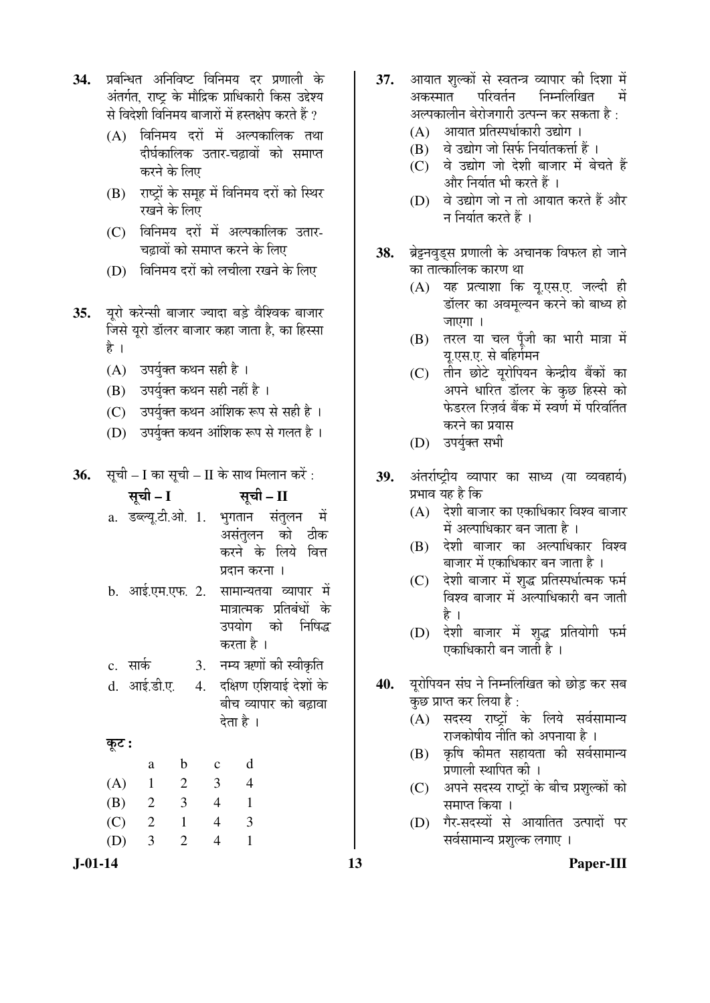|  | 34. प्रबन्धित अनिविष्ट विनिमय दर प्रणाली के         |  |  |
|--|-----------------------------------------------------|--|--|
|  | अंतर्गत, राष्ट्र के मौद्रिक प्राधिकारी किस उद्देश्य |  |  |
|  | से विदेशी विनिमय बाजारों में हस्तक्षेप करते हैं ?   |  |  |

- $(A)$  विनिमय दरों में अल्पकालिक तथा दीर्घकालिक उतार-चढावों को समाप्त करने के लिए
- (B) राष्ट्रों के समूह में विनिमय दरों को स्थिर रखने के लिए
- (C) विनिमय दरों में अल्पकालिक उतार-चढावों को समाप्त करने के लिए
- (D) विनिमय दरों को लचीला रखने के लिए
- **35.** युरो करेन्सी बाजार ज्यादा बड़े वैश्विक बाजार जिसे यूरो डॉलर बाजार कहा जाता है, का हिस्सा है ।
	- (A) उपर्युक्त कथन सही है ।
	- (B) उपर्युक्त कथन सही नहीं है ।
	- (C) उपर्युक्त कथन आंशिक रूप से सही है ।
	- (D) उपर्युक्त कथन आंशिक रूप से गलत है ।
- **36.** सूची I का सूची II के साथ मिलान करें :

|       | सूची – I                   |                         |              |                                           | सूची – II      |                          |  |
|-------|----------------------------|-------------------------|--------------|-------------------------------------------|----------------|--------------------------|--|
|       | a. डब्ल्यू.टी.ओ. 1.        |                         |              |                                           |                | भगतान संतुलन में         |  |
|       |                            |                         |              |                                           |                | असंतुलन को ठीक           |  |
|       |                            |                         |              |                                           |                | करने के लिये वित्त       |  |
|       |                            |                         |              |                                           | प्रदान करना ।  |                          |  |
|       | b. आई.एम.एफ. 2.            |                         |              |                                           |                | सामान्यतया व्यापार में   |  |
|       |                            |                         |              |                                           |                | मात्रात्मक प्रतिबंधों के |  |
|       |                            |                         |              |                                           |                | उपयोग को निषिद्ध         |  |
|       |                            |                         |              | करता है ।                                 |                |                          |  |
|       | c. सार्क                   |                         | 3.           |                                           |                | नम्य ऋणों की स्वीकृति    |  |
|       | d. आई.डी.ए. 4.             |                         |              |                                           |                | दक्षिण एशियाई देशों के   |  |
|       |                            |                         |              |                                           |                | बीच व्यापार को बढ़ावा    |  |
|       |                            |                         |              | देता है ।                                 |                |                          |  |
| कूट : |                            |                         |              |                                           |                |                          |  |
|       | a                          | $\mathbf b$             | $\mathbf{c}$ |                                           | d              |                          |  |
| (A)   | $\mathbf{1}$               | 2                       |              | $\overline{3}$                            | $\overline{4}$ |                          |  |
| (B)   | $\overline{\phantom{0}}^2$ | $\overline{\mathbf{3}}$ |              | $\overline{4}$<br>$\overline{1}$          |                |                          |  |
| (C)   | $\overline{\phantom{a}}$   | $\overline{1}$          |              | $\overline{4}$<br>$\overline{\mathbf{3}}$ |                |                          |  |
| (D)   | 3                          | $\overline{2}$          |              | $\overline{4}$                            | $\mathbf{1}$   |                          |  |

- **37.** आयात शुल्कों से स्वतन्त्र व्यापार की दिशा में अकस्मात परिवर्तन निम्नलिखित में अल्पकालीन बेरोजगारी उत्पन्न कर सकता है $\cdot$ 
	- (A) आयात प्रतिस्पर्धाकारी उद्योग ।
	- (B) वे उद्योग जो सिर्फ निर्यातकर्त्ता हैं ।
	- (C) वे उद्योग जो देशी बाजार में बेचते हैं और निर्यात भी करते हैं ।
	- (D) वे उद्योग जो न तो आयात करते हैं और न निर्यात करते हैं ।
- 38. ब्रेट्टनवुड्स प्रणाली के अचानक विफल हो जाने का तात्कालिक कारण था
	- (A) यह प्रत्याशा कि यू.एस.ए. जल्दी ही डॉलर का अवमुल्यन करने को बाध्य हो जाएगा ।
	- (B) तरल या चल पूँजी का भारी मात्रा में यू.एस.ए. से बहिर्गमन
	- (C) तीन छोटे युरोपियन केन्द्रीय बैंकों का अपने धारित डॉलर के कुछ हिस्से को फेडरल रिजर्व बैंक में स्वर्ण में परिवर्तित करने का प्रयास
	- (D) उपर्युक्त सभी
- 39. अंतर्राष्ट्रीय व्यापार का साध्य (या व्यवहार्य) प्रभाव यह है कि
	- $(A)$  देशी बाजार का एकाधिकार विश्व बाजार में अल्पाधिकार बन जाता है ।
	- (B) देशी बाजार का अल्पाधिकार विश्व बाजार में एकाधिकार बन जाता है ।
	- (C) देशी बाजार में शुद्ध प्रतिस्पर्धात्मक फर्म विश्व बाजार में अल्पाधिकारी बन जाती है ।
	- (D) देशी बाजार में शुद्ध प्रतियोगी फर्म एकाधिकारी बन जाती है ।
- 40. **युरोपियन संघ ने निम्नलिखित को छोड़ कर** सब कुछ प्राप्त कर लिया है:
	- $(A)$  सदस्य राष्ट्रों के लिये सर्वसामान्य राजकोषीय नीति को अपनाया है ।
	- (B) कृषि कीमत सहायता की सर्वसामान्य प्रणाली स्थापित की ।
	- (C) । अपने सदस्य राष्ट्रों के बीच प्रशुल्कों को समाप्त किया ।
	- (D) गैर-सदस्यों से आयातित उत्पादों पर सर्वसामान्य प्रशुल्क लगाए ।

**J-01-14 13 Paper-III**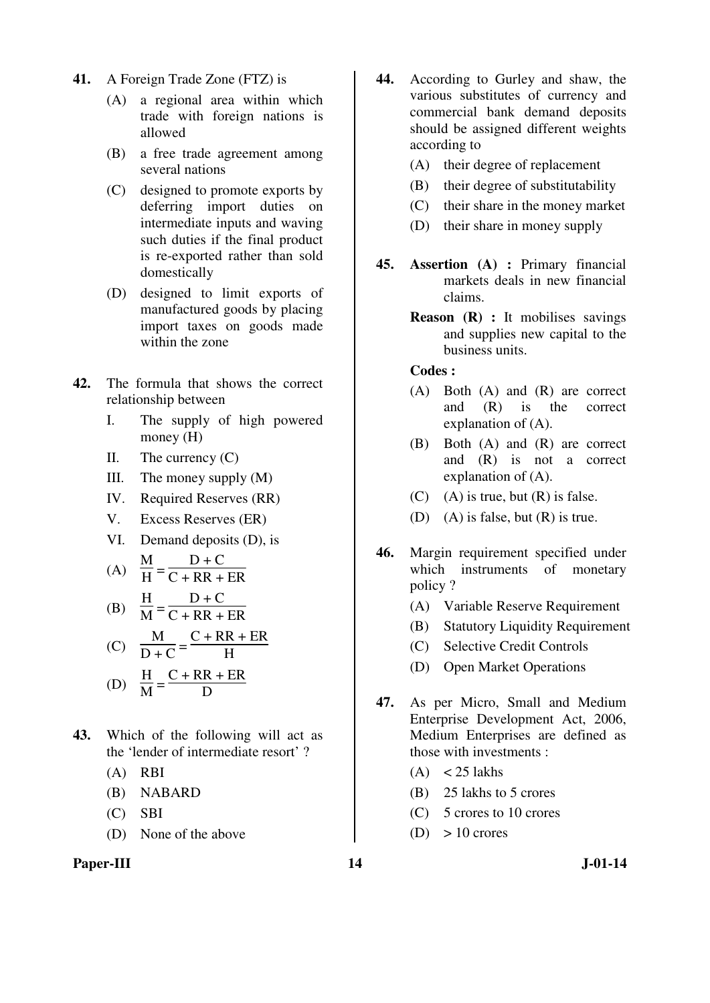- **41.** A Foreign Trade Zone (FTZ) is
	- (A) a regional area within which trade with foreign nations is allowed
	- (B) a free trade agreement among several nations
	- (C) designed to promote exports by deferring import duties on intermediate inputs and waving such duties if the final product is re-exported rather than sold domestically
	- (D) designed to limit exports of manufactured goods by placing import taxes on goods made within the zone
- **42.** The formula that shows the correct relationship between
	- I. The supply of high powered money (H)
	- II. The currency  $(C)$
	- III. The money supply (M)
	- IV. Required Reserves (RR)
	- V. Excess Reserves (ER)
	- VI. Demand deposits (D), is

$$
(A) \quad \frac{M}{H} = \frac{D + C}{C + RR + ER}
$$

(B) 
$$
\frac{H}{M} = \frac{D + C}{C + RR + ER}
$$

(C) 
$$
\frac{M}{D+C} = \frac{C + RR + ER}{H}
$$

(D) 
$$
\frac{H}{M} = \frac{C + RR + ER}{D}
$$

- **43.** Which of the following will act as the 'lender of intermediate resort' ?
	- (A) RBI
	- (B) NABARD
	- (C) SBI
	- (D) None of the above

### Paper-III 14 J-01-14

- **44.** According to Gurley and shaw, the various substitutes of currency and commercial bank demand deposits should be assigned different weights according to
	- (A) their degree of replacement
	- (B) their degree of substitutability
	- (C) their share in the money market
	- (D) their share in money supply
- **45. Assertion (A) :** Primary financial markets deals in new financial claims.
	- **Reason (R) :** It mobilises savings and supplies new capital to the business units.

- (A) Both (A) and (R) are correct and (R) is the correct explanation of (A).
- (B) Both (A) and (R) are correct and (R) is not a correct explanation of (A).
- $(C)$  (A) is true, but  $(R)$  is false.
- (D) (A) is false, but (R) is true.
- **46.** Margin requirement specified under which instruments of monetary policy ?
	- (A) Variable Reserve Requirement
	- (B) Statutory Liquidity Requirement
	- (C) Selective Credit Controls
	- (D) Open Market Operations
- **47.** As per Micro, Small and Medium Enterprise Development Act, 2006, Medium Enterprises are defined as those with investments :
	- $(A) < 25$  lakhs
	- (B) 25 lakhs to 5 crores
	- (C) 5 crores to 10 crores
	- $(D) > 10$  crores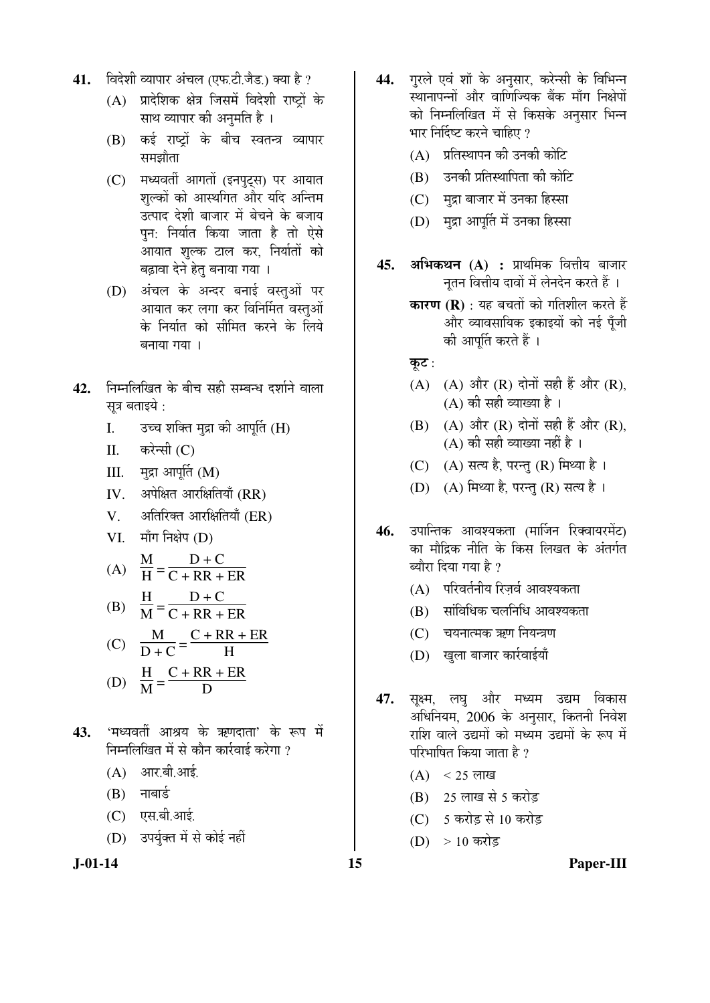- 41. विदेशी व्यापार अंचल (एफ.टी.जैड.) क्या है ?
	- $(A)$  प्रादेशिक क्षेत्र जिसमें विदेशी राष्टों के साथ व्यापार की अनुमति है ।
	- $(B)$  कई राष्टों के बीच स्वतन्त्र व्यापार समझौता
	- (C) मध्यवर्ती आगतों (इनपुट्स) पर आयात शल्कों को आस्थगित और यदि अन्तिम उत्पाद देशी बाजार में बेचने के बजाय पन: निर्यात किया जाता है तो ऐसे आयात शुल्क टाल कर, निर्यातों को बढ़ावा देने हेत बनाया गया ।
	- (D) अंचल के अन्दर बनाई वस्तुओं पर आयात कर लगा कर विनिर्मित वस्तुओं के निर्यात को सीमित करने के लिये बनाया गया ।
- 42. Fiम्नलिखित के बीच सही सम्बन्ध दर्शाने वाला सूत्र बताइये :
	- I. उच्च शक्ति मुद्रा की आपूर्ति (H)
	- $II.$  करेन्सी  $(C)$
	- $III.$  मुद्रा आपूर्ति (M)
	- IV. अपेक्षित आरक्षितियाँ (RR)
	- V. अतिरिक्त आरक्षितियाँ (ER)
	- $VI.$  माँग निक्षेप  $(D)$

(A) 
$$
\frac{M}{H} = \frac{D + C}{C + RR + ER}
$$

(B) 
$$
\frac{H}{M} = \frac{D + C}{C + RR + ER}
$$

(C) 
$$
\frac{M}{D+C} = \frac{C + RR + ER}{H}
$$

(D) 
$$
\frac{H}{M} = \frac{C + RR + ER}{D}
$$

- 43. 'मध्यवर्ती आश्रय के ऋणदाता' के रूप में निम्नलिखित में से कौन कार्रवाई करेगा ?
	- $(A)$  आर.बी.आई.
	- $(B)$  नाबार्ड
	- (C) एस.बी.आई.
	- (D) उपर्युक्त में से कोई नहीं



- 44. गरले एवं शॉ के अनसार, करेन्सी के विभिन्न स्थानापन्नों और वाणिज्यिक बैंक माँग निक्षेपों को निम्नलिखित में से किसके अनसार भिन्न भार निर्दिष्ट करने चाहिए ?
	- (A) प्रतिस्थापन की उनकी कोटि
	- (B) उनकी प्रतिस्थापिता की कोटि
	- (C) मुद्रा बाजार में उनका हिस्सा
	- (D) मुद्रा आपूर्ति में उनका हिस्सा
- **45. अभिकथन (A) :** प्राथमिक वित्तीय बाजार नतन वित्तीय दावों में लेनदेन करते हैं ।
	- **कारण (R)** : यह बचतों को गतिशील करते हैं और व्यावसायिक इकाइयों को नई पँजी की आपूर्ति करते हैं ।
	- कूट $:$
	- (A)  $(A)$  और  $(R)$  दोनों सही हैं और  $(R)$ ,  $(A)$  की सही व्याख्या है ।
	- $(B)$   $(A)$  और  $(R)$  दोनों सही हैं और  $(R)$ ,  $(A)$  की सही व्याख्या नहीं है ।
	- $(C)$   $(A)$  सत्य है, परन्तु  $(R)$  मिथ्या है।
	- (D) (A) मिथ्या है, परन्तु (R) सत्य है।
- 46. उपान्तिक आवश्यकता (मार्जिन रिक्वायरमेंट) का मौद्रिक नीति के किस लिखत के अंतर्गत ब्यौरा दिया गया है ?
	- $(A)$  परिवर्तनीय रिज़र्व आवश्यकता
	- $(B)$  सांविधिक चलनिधि आवश्यकता
	- $(C)$  वयनात्मक ऋण नियन्त्रण
	- (D) खुला बाजार कार्रवाईयाँ
- 47. सूक्ष्म, लघु और मध्यम उद्यम विकास अधिनियम, 2006 के अनुसार, कितनी निवेश राशि वाले उद्यमों को मध्यम उद्यमों के रूप में परिभाषित किया जाता है ?
	- $(A) < 25$  लाख
	- (B) 25 लाख से 5 करोड़
	- (C) 5 करोड़ से 10 करोड़
	- (D) > 10 करोड

**J-01-14 15 Paper-III**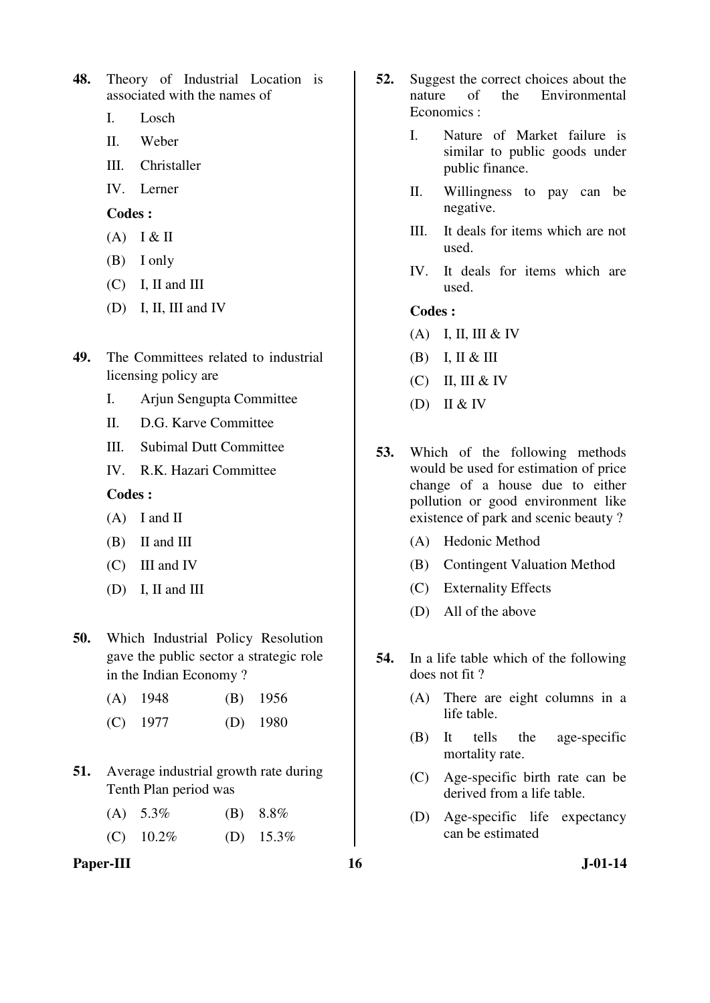**48.** Theory of Industrial Location is associated with the names of

- I. Losch
- II. Weber
- III. Christaller
- IV. Lerner

**Codes :** 

- $(A)$  I & II
- (B) I only
- (C) I, II and III
- (D) I, II, III and IV
- **49.** The Committees related to industrial licensing policy are
	- I. Arjun Sengupta Committee
	- II. D.G. Karve Committee
	- III. Subimal Dutt Committee
	- IV. R.K. Hazari Committee

# **Codes :**

- (A) I and II
- (B) II and III
- (C) III and IV
- (D) I, II and III
- **50.** Which Industrial Policy Resolution gave the public sector a strategic role in the Indian Economy ?
	- (A) 1948 (B) 1956
	- (C) 1977 (D) 1980
- **51.** Average industrial growth rate during Tenth Plan period was
	- (A)  $5.3\%$  (B)  $8.8\%$
	- (C)  $10.2\%$  (D)  $15.3\%$

### Paper-III **16** J-01-14

- **52.** Suggest the correct choices about the nature of the Environmental Economics :
	- I. Nature of Market failure is similar to public goods under public finance.
	- II. Willingness to pay can be negative.
	- III. It deals for items which are not used.
	- IV. It deals for items which are used.

- (A) I, II, III & IV
- $(B)$  I, II & III
- $(C)$  II, III & IV
- (D) II & IV
- **53.** Which of the following methods would be used for estimation of price change of a house due to either pollution or good environment like existence of park and scenic beauty ?
	- (A) Hedonic Method
	- (B) Contingent Valuation Method
	- (C) Externality Effects
	- (D) All of the above
- **54.** In a life table which of the following does not fit ?
	- (A) There are eight columns in a life table.
	- (B) It tells the age-specific mortality rate.
	- (C) Age-specific birth rate can be derived from a life table.
	- (D) Age-specific life expectancy can be estimated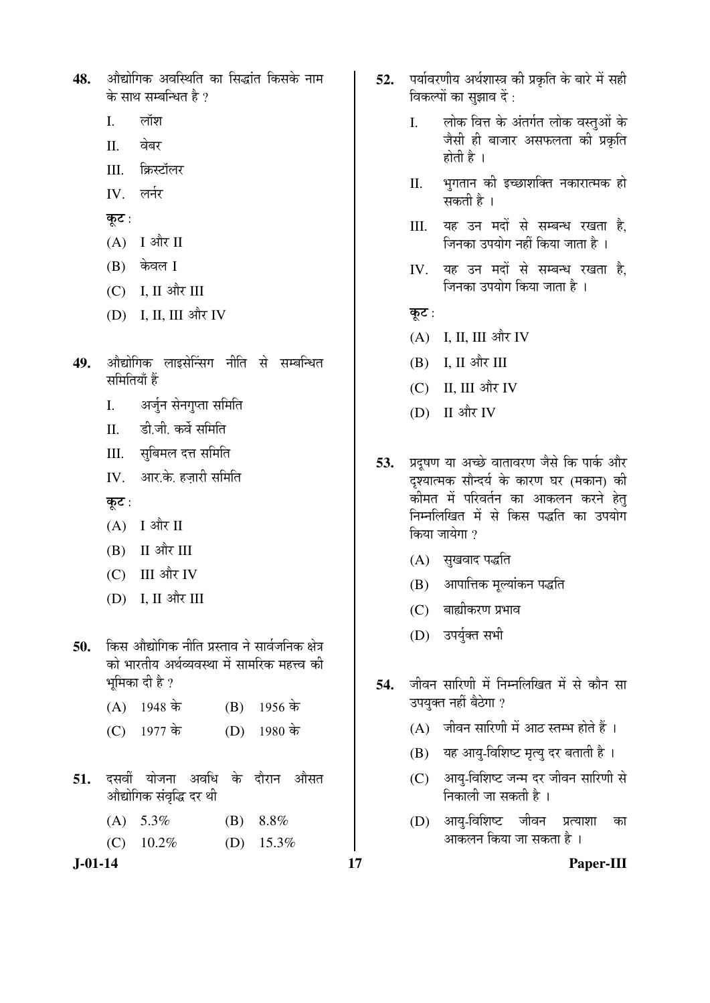- 48. औद्योगिक अवस्थिति का सिद्धांत किसके नाम के साथ सम्बन्धित है ?
	- $I.$  लॉश
	- II. वेबर
	- III. क्रिस्टॉलर
	- $IV$  लर्नर
	- कूट:
	- $(A)$  I और II
	- $(B)$  केवल I
	- $(C)$  I, II और III
	- (D) I, II, III और IV
- 49. ओद्योगिक लाइसेन्सिंग नीति से सम्बन्धित समितियाँ हैं
	- I. अर्जुन सेनगुप्ता समिति
	- II. ही जी कर्वे समिति
	- III. सबिमल दत्त समिति
	- IV. आर.के. हजारी समिति
	- कूट $:$
	- $(A)$  I और II
	- $(B)$  II और III
	- $(C)$  III और IV
	- (D) I, II और III
- 50. किस औद्योगिक नीति प्रस्ताव ने सार्वजनिक क्षेत्र को भारतीय अर्थव्यवस्था में सामरिक महत्त्व की भूमिका दी है ?
	- (A)  $1948 \text{ } \dot{\text{}}$  (B)  $1956 \text{ } \dot{\text{}}$
	- (C)  $1977 \text{ } \dot{\text{d}} \text{r}$  (D)  $1980 \text{ } \dot{\text{d}} \text{r}$
- **51.** दसवीं योजना अवधि के दौरान औसत औद्योगिक संवृद्धि दर थी
	- (A) 5.3% (B) 8.8%
	- (C)  $10.2\%$  (D)  $15.3\%$

- 52. पर्यावरणीय अर्थशास्त्र की प्रकृति के बारे में सही विकल्पों का सूझाव दें :
	- I. लोक वित्त के अंतर्गत लोक वस्तुओं के जैसी ही बाजार असफलता की प्रकृति होती है $\perp$
	- II. भुगतान की इच्छाशक्ति नकारात्मक हो सकती है ।
	- III. यह उन मदों से सम्बन्ध रखता है, जिनका उपयोग नहीं किया जाता है ।
	- IV. यह उन मदों से सम्बन्ध रखता है. जिनका उपयोग किया जाता है ।
	- कुट:
	- $(A)$  I, II, III और IV
	- (B) I, II और III
	- $(C)$  II, III और IV
	- (D) II और IV
- 53. प्रदुषण या अच्छे वातावरण जैसे कि पार्क और दृश्यात्मक सौन्दर्य के कारण घर (मकान) की ्कोमत में परिवर्तन का आकलन करने हेतु ×®Ö´®Ö×»Ö×ÜÖŸÖ ´Öë ÃÖê ×ÛúÃÖ ¯Ö¨ü×ŸÖ ÛúÖ ˆ¯ÖµÖÖêÝÖ किया जायेगा ?
	- $(A)$  सुखवाद पद्धति
	- (B) आपात्तिक मूल्यांकन पद्धति
	- $(C)$  बाह्यीकरण प्रभाव
	- (D) उपर्युक्त सभी
- 54. जीवन सारिणी में निम्नलिखित में से कौन सा उपयक्त नहीं बैठेगा ?
	- $(A)$  जीवन सारिणी में आठ स्तम्भ होते हैं ।
	- (B) यह आयु-विशिष्ट मृत्यु दर बताती है ।
	- (C) आयु-विशिष्ट जन्म दर जीवन सारिणी से <u>निकाली जा सकती है</u> ।
	- (D) आयु-विशिष्ट जीवन प्रत्याशा का आकलन किया जा सकता है ।

**J-01-14 17 Paper-III**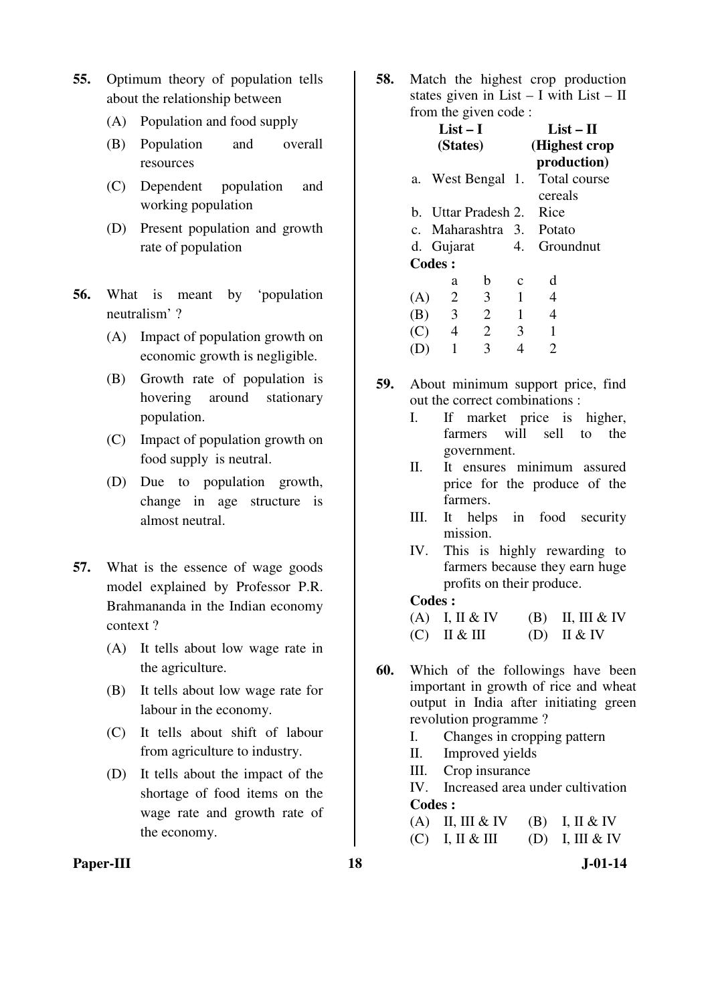- **55.** Optimum theory of population tells about the relationship between
	- (A) Population and food supply
	- (B) Population and overall resources
	- (C) Dependent population and working population
	- (D) Present population and growth rate of population
- **56.** What is meant by 'population neutralism' ?
	- (A) Impact of population growth on economic growth is negligible.
	- (B) Growth rate of population is hovering around stationary population.
	- (C) Impact of population growth on food supply is neutral.
	- (D) Due to population growth, change in age structure is almost neutral.
- **57.** What is the essence of wage goods model explained by Professor P.R. Brahmananda in the Indian economy context ?
	- (A) It tells about low wage rate in the agriculture.
	- (B) It tells about low wage rate for labour in the economy.
	- (C) It tells about shift of labour from agriculture to industry.
	- (D) It tells about the impact of the shortage of food items on the wage rate and growth rate of the economy.

**58.** Match the highest crop production states given in List – I with List – II from the given code :

|     | $List-I$<br>(States) |                |              | $List-II$<br>(Highest crop)            |  |
|-----|----------------------|----------------|--------------|----------------------------------------|--|
| а.  | West Bengal 1.       |                |              | production)<br>Total course<br>cereals |  |
|     | b. Uttar Pradesh 2.  |                |              | Rice                                   |  |
|     | c. Maharashtra 3.    |                |              | <b>Potato</b>                          |  |
|     | d. Gujarat           |                | 4.           | Groundnut                              |  |
|     | <b>Codes:</b>        |                |              |                                        |  |
|     | a                    | b              | C            | d                                      |  |
| (A) | $\overline{2}$       | 3              | 1            | 4                                      |  |
| (B) | $\overline{3}$       | $\overline{2}$ | $\mathbf{1}$ | 4                                      |  |
| (C) | $\overline{4}$       | $\overline{2}$ | 3            | 1                                      |  |
|     | 1                    | 3              |              | 2                                      |  |

- **59.** About minimum support price, find out the correct combinations :
	- I. If market price is higher, farmers will sell to the government.
	- II. It ensures minimum assured price for the produce of the farmers.
	- III. It helps in food security mission.
	- IV. This is highly rewarding to farmers because they earn huge profits on their produce.

### **Codes :**

| $(A)$ I, II & IV | $(B)$ II, III & IV |
|------------------|--------------------|
| $(C)$ II & III   | $(D)$ II & IV      |

- **60.** Which of the followings have been important in growth of rice and wheat output in India after initiating green revolution programme ?
	- I. Changes in cropping pattern
	- II. Improved yields
	- III. Crop insurance

 IV. Increased area under cultivation **Codes :** 

| (A) II, III & IV (B) I, II & IV |                 |
|---------------------------------|-----------------|
| $(C)$ I, II & III               | (D) I, III & IV |

**Paper-III 18** J-01-14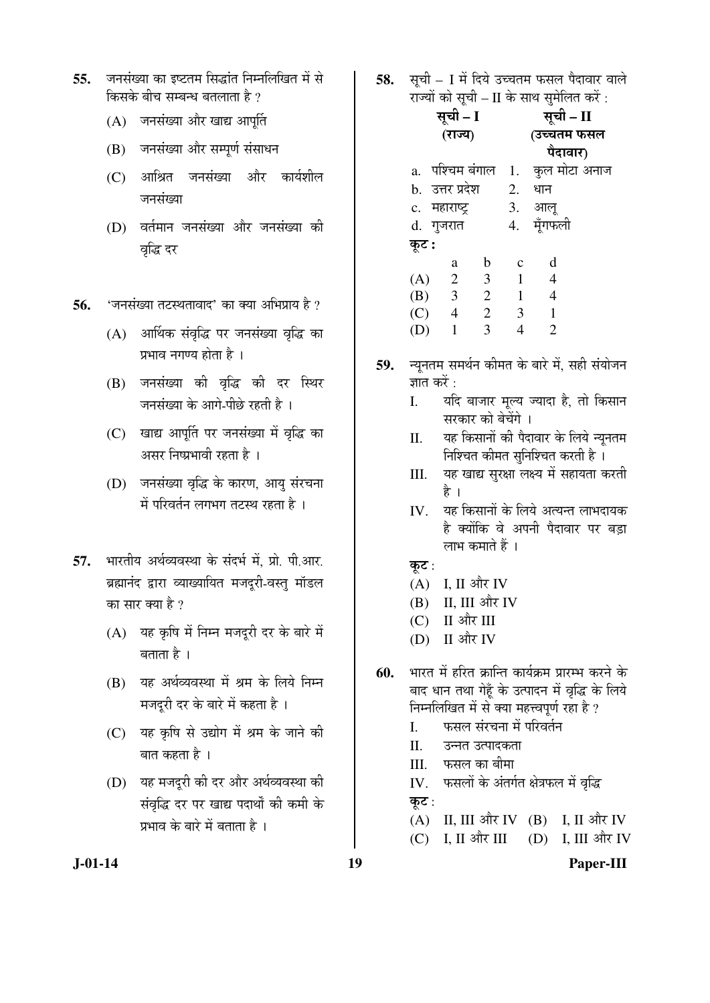- 55. जनसंख्या का इष्टतम सिद्धांत निम्नलिखित में से किसके बीच सम्बन्ध बतलाता है ?
	- (A) जनसंख्या और खाद्य आपर्ति
	- (B) जनसंख्या और सम्पूर्ण संसाधन
	- (C) आश्रित जनसंख्या और कार्यशील जनसंख्या
	- (D) वर्तमान जनसंख्या और जनसंख्या की वृद्धि दर
- **56.** 'जनसंख्या तटस्थतावाद' का क्या अभिप्राय है ?
	- $(A)$  आर्थिक संवृद्धि पर जनसंख्या वृद्धि का प्रभाव नगण्य होता है ।
	- (B) जनसंख्या की वृद्धि की दर स्थिर -<br>जनसंख्या के आगे-पीछे रहती है ।
	- (C) खाद्य आपूर्ति पर जनसंख्या में वृद्धि का असर निष्प्रभावी रहता है ।
	- (D) जनसंख्या वृद्धि के कारण, आयु संरचना में परिवर्तन लगभग तटस्थ रहता है ।
- 57. भारतीय अर्थव्यवस्था के संदर्भ में, प्रो. पी.आर. ब्रह्मानंद द्वारा व्याख्यायित मजदुरी-वस्तु मॉडल का सार क्या है ?
	- $(A)$  यह कृषि में निम्न मजदूरी दर के बारे में बताता है ।
	- (B) यह अर्थव्यवस्था में श्रम के लिये निम्न मजदुरी दर के बारे में कहता है ।
	- (C) यह कृषि से उद्योग में श्रम के जाने की बात कहता है ।
	- (D) यह मजदूरी की दर और अर्थव्यवस्था की संवृद्धि दर पर खाद्य पदार्थों की कमी के प्रभाव के बारे में बताता है ।
- **58.** सूची I में दिये उच्चतम फसल पैदावार वाले राज्यों को सूची – II के साथ सुमेलित करें:
- सूची I (राज्य) सूची – II (उच्चतम फसल पैदावार) a. पश्चिम बंगाल 1. कुल मोटा अनाज b. उत्तर प्रदेश 2. धान c. महाराष्ट्र 3. आलू d. गुजरात 4. मूँगफली  $\overline{\phi}$ : a b c d (A) 2 3 1 4 (B) 3 2 1 4 (C) 4 2 3 1 (D) 1 3 4 2
- 59. न्यूनतम समर्थन कीमत के बारे में, सही संयोजन ज्ञात करें :
	- I. यदि बाजार मूल्य ज्यादा है, तो किसान सरकार को बेचेंगे ।
	- II. यह किसानों की पैदावार के लिये न्यूनतम निश्चित कीमत सुनिश्चित करती है<sup>1</sup>
	- III. यह खाद्य सुरक्षा लक्ष्य में सहायता करती है ।
	- IV. यह किसानों के लिये अत्यन्त लाभदायक है क्योंकि वे अपनी पैदावार पर बड़ा लाभ कमाते हैं ।
	- कूट :
	- $(A)$  I, II और IV
	- $(B)$  II, III और IV
	- $(C)$  II और III
	- $(D)$  II और IV
- $60.$  <sup>भारत में हरित क्रान्ति कार्यक्रम प्रारम्भ करने के</sup> बाद धान तथा गेहूँ के उत्पादन में वृद्धि के लिये निम्नलिखित में से क्या महत्त्वपूर्ण रहा है ?
	- I. फसल संरचना में परिवर्तन
	- II. उन्नत उत्पादकता
	- III. फसल का बीमा
	- IV. फसलों के अंतर्गत क्षेत्रफल में वृद्धि
	- कूट:
	- (A) II, III और IV (B) I, II और IV
	- (C) I, II और III (D) I, III और IV

**J-01-14 19 Paper-III**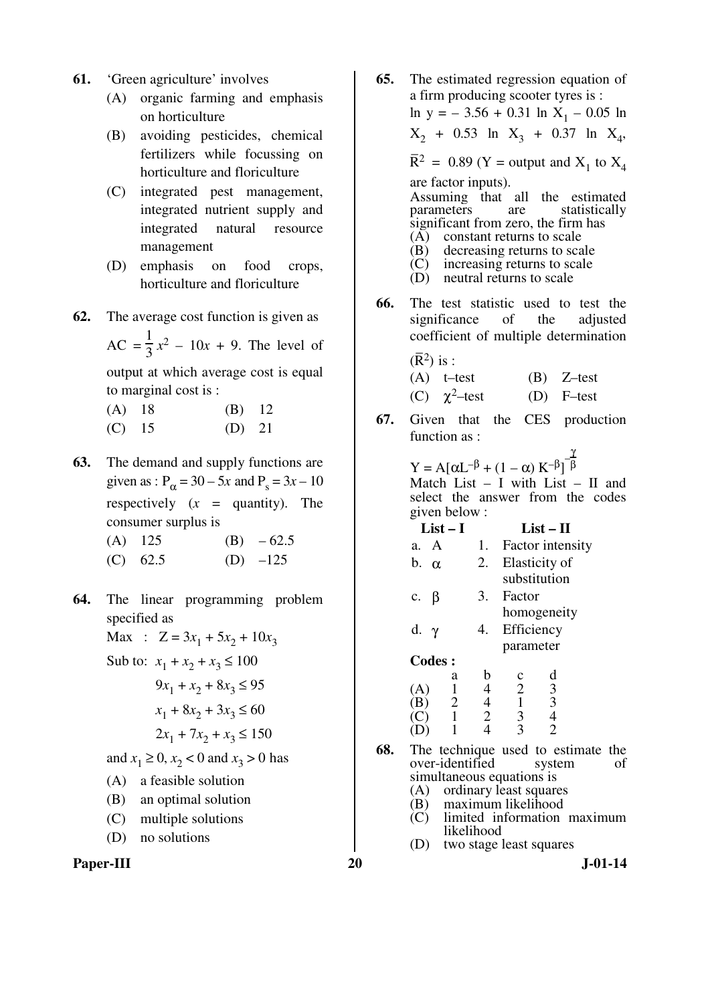- **61.** 'Green agriculture' involves
	- (A) organic farming and emphasis on horticulture
	- (B) avoiding pesticides, chemical fertilizers while focussing on horticulture and floriculture
	- (C) integrated pest management, integrated nutrient supply and integrated natural resource management
	- (D) emphasis on food crops, horticulture and floriculture
- **62.** The average cost function is given as

 $AC =$ 1 3  $x^2 - 10x + 9$ . The level of

output at which average cost is equal to marginal cost is :

 (A) 18 (B) 12 (C) 15 (D) 21

- **63.** The demand and supply functions are given as :  $P_{\alpha} = 30 - 5x$  and  $P_s = 3x - 10$ respectively  $(x =$  quantity). The consumer surplus is
	- (A)  $125$  (B)  $-62.5$
	- (C)  $62.5$  (D)  $-125$
- **64.** The linear programming problem specified as
	- Max :  $Z = 3x_1 + 5x_2 + 10x_3$
	- Sub to:  $x_1 + x_2 + x_3 \le 100$
- $9x_1 + x_2 + 8x_3 \le 95$  $x_1 + 8x_2 + 3x_3 \le 60$  $2x_1 + 7x_2 + x_3 \le 150$

and  $x_1 \ge 0$ ,  $x_2 < 0$  and  $x_3 > 0$  has

- (A) a feasible solution
- (B) an optimal solution
- (C) multiple solutions
- (D) no solutions



**65.** The estimated regression equation of a firm producing scooter tyres is :  $\ln y = -3.56 + 0.31 \ln X_1 - 0.05 \ln X_2$  $X_2$  + 0.53 ln  $X_3$  + 0.37 ln  $X_4$ ,  $\overline{R}^2 = 0.89$  (Y = output and  $X_1$  to  $X_4$ are factor inputs). Assuming that all the estimated<br>parameters are statistically statistically significant from zero, the firm has (A) constant returns to scale (B) decreasing returns to scale (C) increasing returns to scale<br>(D) neutral returns to scale neutral returns to scale **66.** The test statistic used to test the significance of the adjusted coefficient of multiple determination  $(\overline{R}^2)$  is : (A) t–test (B) Z–test (C)  $\chi^2$ -test (D) F-test **67.** Given that the CES production function as :  $Y = A[\alpha L^{-\beta} + (1 - \alpha) K^{-\beta}]^{\frac{1}{\beta}}$ β

Match List  $-$  I with List  $-$  II and select the answer from the codes given below :

| $List-I$                                                          | $List-II$      |                                 |
|-------------------------------------------------------------------|----------------|---------------------------------|
| a. A                                                              | 1.             | Factor intensity                |
| $b. \alpha$                                                       | 2.             | Elasticity of                   |
|                                                                   |                | substitution                    |
| β<br>c.                                                           | 3.             | Factor                          |
|                                                                   |                | homogeneity                     |
| d. $\gamma$                                                       | 4.             | Efficiency                      |
|                                                                   |                | parameter                       |
| <b>Codes:</b>                                                     |                |                                 |
| a                                                                 | b              | d<br>с                          |
| 1<br>(A)                                                          | 4              | $\frac{3}{3}$<br>$\overline{2}$ |
| $\overline{2}$<br>(B)                                             | 4              | $\frac{1}{3}$                   |
| $\overline{1}$<br>$\left( \begin{array}{c} 1 \end{array} \right)$ | $\overline{2}$ | $\overline{4}$                  |
|                                                                   |                | 2                               |
|                                                                   |                |                                 |

**68.** The technique used to estimate the over-identified system of over-identified simultaneous equations is<br>(A) ordinary least square

- ordinary least squares
- (B) maximum likelihood
- (C) limited information maximum likelihood
- (D) two stage least squares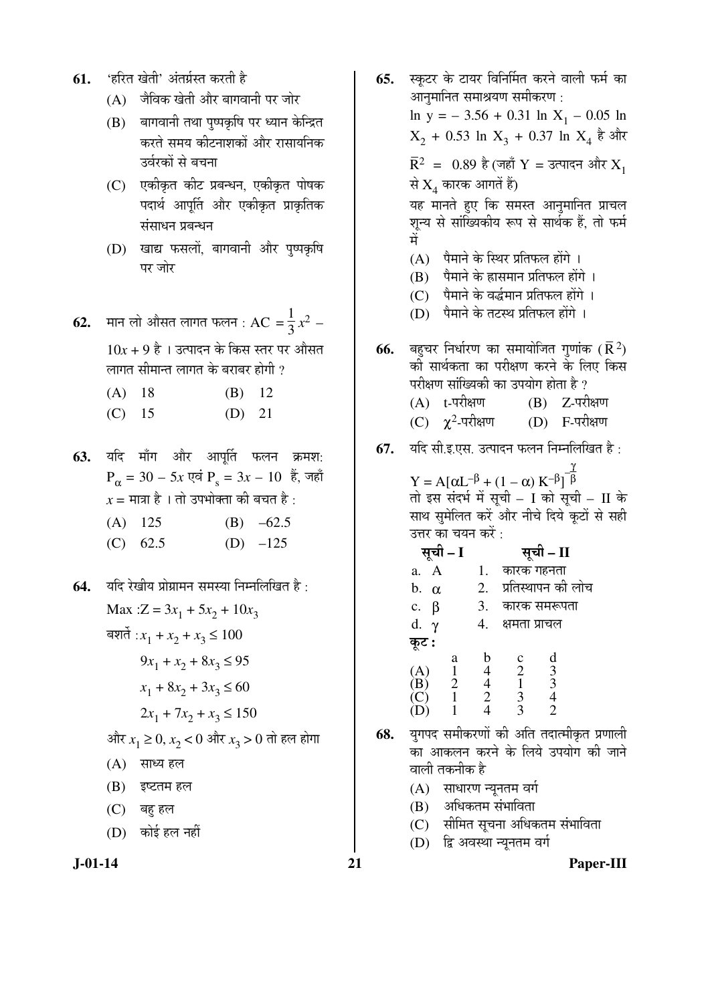- **61.** 'हरित खेती' अंतर्ग्रस्त करती है
	- $(A)$  जैविक खेती और बागवानी पर जोर
	- (B) बागवानी तथा पुष्पकृषि पर ध्यान केन्द्रित करते समय कीटनाशकों और रासायनिक उर्वरकों से बचना
	- $(C)$  एकीकृत कीट प्रबन्धन, एकीकृत पोषक पदार्थ आपूर्ति और एकीकृत प्राकृतिक संसाधन प्रबन्धन
	- (D) खाद्य फसलों, बागवानी और पुष्पकृषि पर जोर
- $\bf{62.}$   $\,$  मान लो औसत लागत फलन :  $\rm{AC}$  =  $\frac{1}{3}$ 3  $x^2 10x + 9$  है। उत्पादन के किस स्तर पर औसत लागत सीमान्त लागत के बराबर होगी ?

| $(A)$ 18   |  | $(B)$ 12   |  |
|------------|--|------------|--|
| $\sqrt{2}$ |  | $\sqrt{2}$ |  |

- (C) 15 (D) 21
- 63. यदि माँग और आपूर्ति फलन क्रमश:  $P_{\alpha} = 30 - 5x$  एवं  $P_{s} = 3x - 10$  हैं, जहाँ  $x = \overline{H}$ ञ्चा है । तो उपभोक्ता की बचत है :
	- (A)  $125$  (B)  $-62.5$
	- (C)  $62.5$  (D)  $-125$
- **64.** यदि रेखीय प्रोग्रामन समस्या निम्नलिखित है : Max : $Z = 3x_1 + 5x_2 + 10x_3$ बशर्ते : $x_1 + x_2 + x_3 \le 100$  $9x_1 + x_2 + 8x_3 \leq 95$  $x_1 + 8x_2 + 3x_3 \le 60$  $2x_1 + 7x_2 + x_3 \le 150$ और  $x^{}_1 \ge 0, x^{}_2 < 0$  और  $x^{}_3 > 0$  तो हल होगा  $(A)$  साध्य हल  $(B)$  इष्टतम हल (C) बहु हल (D) कोई हल नहीं
- 

**65.** स्कटर के टायर विनिर्मित करने वाली फर्म का आनुमानित समाश्रयण समीकरण :  $\ln y = -3.56 + 0.31 \ln X_1 - 0.05 \ln X_2$  $X_2 + 0.53 \ln X_3 + 0.37 \ln X_4$  है और  $\overline{R}^2$  = 0.89 है (जहाँ  $Y$  = उत्पादन और  $X^1$ से  $\mathrm{X}_4$  कारक आगतें हैं) यह मानते हुए कि समस्त आनुमानित प्राचल शुन्य से सांख्यिकीय रूप से सार्थक हैं, तो फर्म ´Öë  $(A)$  पैमाने के स्थिर प्रतिफल होंगे ।  $(B)$  पैमाने के ह्रासमान प्रतिफल होंगे ।  $(C)$  पैमाने के वर्द्धमान प्रतिफल होंगे । (D) पैमाने के तटस्थ प्रतिफल होंगे । **66.** बहुचर निर्धारण का समायोजित गुणांक  $(\bar{\mathbf{R}}^{\, 2})$ की सार्थकता का परीक्षण करने के लिए किस परीक्षण सांख्यिकी का उपयोग होता है ?  $(A)$  t-परीक्षण  $(B)$  Z-परीक्षण (C)  $\chi^2$ (D) F-परीक्षण **67.** यदि सी.इ.एस. उत्पादन फलन निम्नलिखित है:  $Y = A[αL<sup>-β</sup> + (1 - α) K<sup>-β</sup>]$ β तो इस संदर्भ में सूची – I को सूची – II के साथ समेलित करें और नीचे दिये कटों से सही उत्तर का चयन करें : ÃÖæ"Öß **– I** ÃÖæ"Öß **– II**  a.  $A = 1$ . कारक गहनता

| b.<br>$\alpha$      |   | 2. |                | प्रतिस्थापन की लोच |  |
|---------------------|---|----|----------------|--------------------|--|
| β<br>$\mathbf{c}$ . |   | 3. |                | कारक समरूपता       |  |
| d.                  |   |    | क्षमता प्राचल  |                    |  |
| कूट :               |   |    |                |                    |  |
|                     | a |    | $\mathbf c$    | d                  |  |
| (A)                 |   |    | $\overline{2}$ |                    |  |
| ΈB)                 |   |    |                | $\frac{3}{3}$      |  |
|                     |   | 2  | 3              |                    |  |
|                     |   |    |                | $\overline{2}$     |  |
|                     |   |    |                |                    |  |

- **68.** युगपद समीकरणों की अति तदात्मीकृत प्रणाली का आकलन करने के लिये उपयोग की जाने वाली तकनीक है
	- $(A)$  साधारण न्यूनतम वर्ग
	- (B) अधिकतम संभाविता
	- (C) सीमित सूचना अधिकतम संभाविता
	- (D) द्वि अवस्था न्यूनतम वर्ग

**J-01-14 21 Paper-III**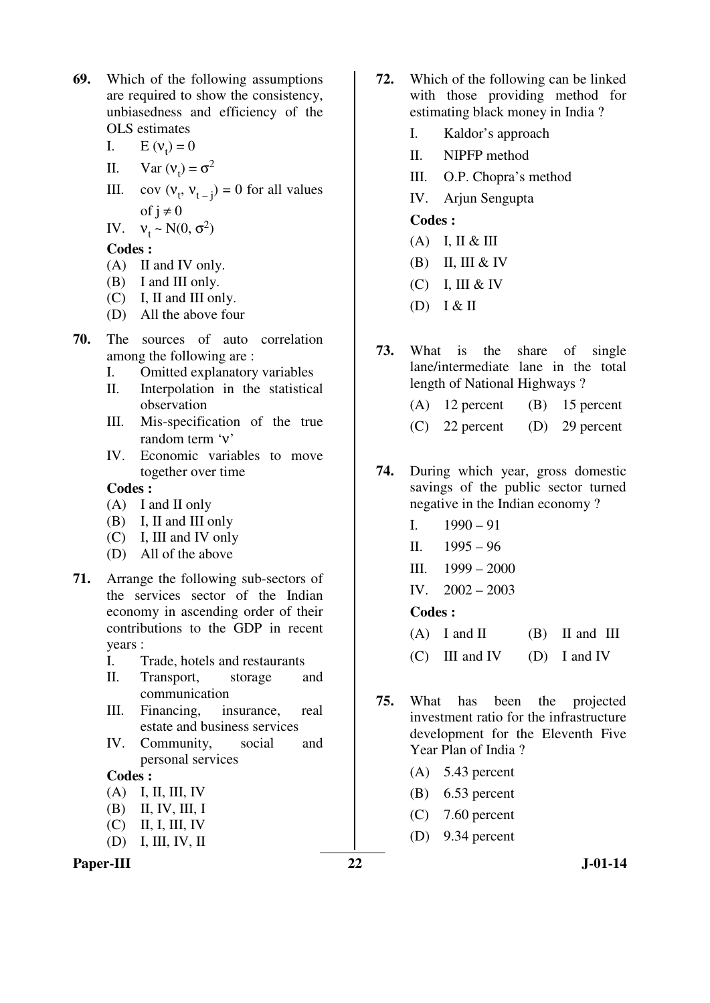- **69.** Which of the following assumptions are required to show the consistency, unbiasedness and efficiency of the OLS estimates
- I.  $E (v_t) = 0$
- II. Var  $(v_t) = \sigma^2$
- III. cov  $(v_t, v_{t-j}) = 0$  for all values of  $j \neq 0$

IV.  $v_t \sim N(0, \sigma^2)$ 

**Codes :** 

- (A) II and IV only.
- (B) I and III only.
- (C) I, II and III only.
- (D) All the above four
- **70.** The sources of auto correlation among the following are :
	- I. Omitted explanatory variables
	- II. Interpolation in the statistical observation
	- III. Mis-specification of the true random term 'ν'
	- IV. Economic variables to move together over time

# **Codes :**

- (A) I and II only
- (B) I, II and III only
- (C) I, III and IV only
- (D) All of the above
- **71.** Arrange the following sub-sectors of the services sector of the Indian economy in ascending order of their contributions to the GDP in recent years :
	- I. Trade, hotels and restaurants
	- II. Transport, storage and communication
	- III. Financing, insurance, real estate and business services
	- IV. Community, social and personal services

# **Codes :**

- (A) I, II, III, IV
- (B) II, IV, III, I
- $(C)$  II, I, III, IV
- (D) I, III, IV, II

# Paper-III 22 J-01-14

- **72.** Which of the following can be linked with those providing method for estimating black money in India ?
	- I. Kaldor's approach
	- II. NIPFP method
	- III. O.P. Chopra's method
	- IV. Arjun Sengupta

### **Codes :**

- $(A)$  I, II & III
- $(B)$  II, III & IV
- $(C)$  I, III & IV
- (D) I & II
- **73.** What is the share of single lane/intermediate lane in the total length of National Highways ?
	- (A) 12 percent (B) 15 percent
	- (C) 22 percent (D) 29 percent
- **74.** During which year, gross domestic savings of the public sector turned negative in the Indian economy ?
	- I.  $1990 91$
	- II. 1995 96
	- III. 1999 2000
	- IV. 2002 2003

- $(A)$  I and II  $(B)$  II and III
- (C) III and IV (D) I and IV
- **75.** What has been the projected investment ratio for the infrastructure development for the Eleventh Five Year Plan of India ?
	- (A) 5.43 percent
	- (B) 6.53 percent
	- (C) 7.60 percent
	- (D) 9.34 percent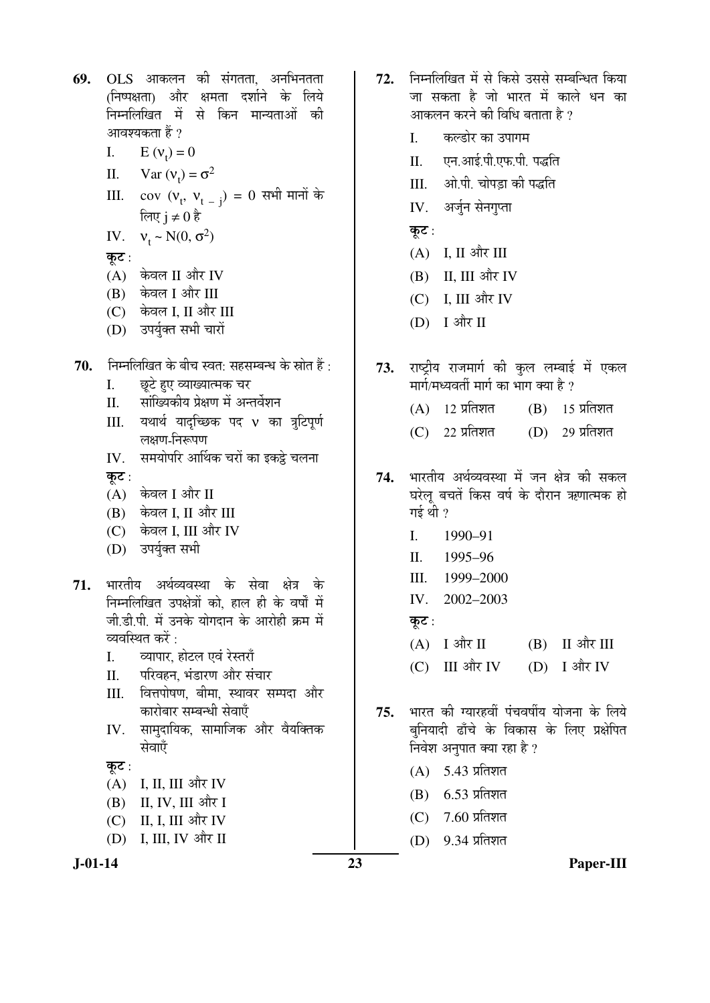**69.** OLS आकलन की संगतता. अनभिनतता (निष्पक्षता) और क्षमता दर्शाने के लिये निम्नलिखित में से किन मान्यताओं क<mark>ी</mark> आवश्यकता हैं ? I.  $E (v_t) = 0$ II. Var  $(v_t) = \sigma^2$ III.  $cov (v_t, v_{t-1}) = 0$  सभी मानों के लिए i ≠ $0^{\frac{5}{6}}$ IV.  $v_t \sim N(0, \sigma^2)$ कट $:$  $(A)$  केवल II और IV (B) केवल I और III (C) केवल I, II और III (D) उपर्युक्त सभी चारों 70. Fiमलिखित के बीच स्वत: सहसम्बन्ध के स्रोत हैं: I. छूटे हुए व्याख्यात्मक चर II. सांख्यिकीय प्रेक्षण में अन्तर्वेशन III. यथार्थ यादृच्छिक पद v का त्रुटिपूर्ण लक्षण-निरूपण IV. समयोपरि आर्थिक चरों का इकट्ठे चलना कट $:$  $(A)$  केवल I और II  $(B)$  केवल I, II और III (C) केवल I, III और IV (D) उपर्युक्त सभी 71. भारतीय अर्थव्यवस्था के सेवा क्षेत्र के निम्नलिखित उपक्षेत्रों को. हाल ही के वर्षों में जी डी पी में उनके योगदान के आरोही क्रम में व्यवस्थित करें $\,$ : I. azuun, होटल एवं रेस्तराँ II. परिवहन. भंडारण और संचार III. वित्तपोषण, बीमा, स्थावर सम्पदा और कारोबार सम्बन्धी सेवाएँ IV. सामुदायिक, सामाजिक और वैयक्तिक सेवाएँ कूट :  $(A)$  I, II, III और IV (B) II, IV, III और I  $(C)$  II, I, III और IV  $(D)$  I, III, IV और II

- 72. ਜਿਸਗਿਰਿਕ में से किसे उससे सम्बन्धित किया <u>जा सकता है जो भारत में काले धन का</u> आकलन करने की विधि बताता है  $\overline{v}$ 
	- I. कल्डोर का उपागम
	- II. एन.आई.पी.एफ.पी. पद्धति
	- III. ओ.पी. चोपडा की पद्धति
	- IV. अर्जुन सेनगुप्ता
	- कूट:
	- $(A)$  I, II और III
	- $(B)$  II, III और IV
	- $(C)$  I, III और IV
	- (D) I और II
- 73. राष्ट्रीय राजमार्ग की कुल लम्बाई में एकल मार्ग/मध्यवर्ती मार्ग का भाग क्या है ?
	- $(A)$  12 प्रतिशत  $(B)$  15 प्रतिशत
	- $(C)$  22 प्रतिशत  $(D)$  29 प्रतिशत
- 74. भारतीय अर्थव्यवस्था में जन क्षेत्र की सकल घरेलू बचतें किस वर्ष के दौरान ऋणात्मक हो गई थी $,$ ?
	- I. 1990–91
	- II. 1995–96
	- III. 1999–2000
	- IV. 2002–2003
	- कुट $:$
	- $(A)$  I और II (B) II और III
	- (C) III और IV (D) I और IV
- 75. भारत की ग्यारहवीं पंचवर्षीय योजना के लिये बनियादी ढाँचे के विकास के लिए प्रक्षेपित निवेश अनुपात क्या रहा है ?
	- $(A)$  5.43 प्रतिशत
	- $(B)$  6.53 प्रतिशत
	- $(C)$  7.60 प्रतिशत
	- $(D)$  9.34 प्रतिशत

**J-01-14 23 Paper-III**